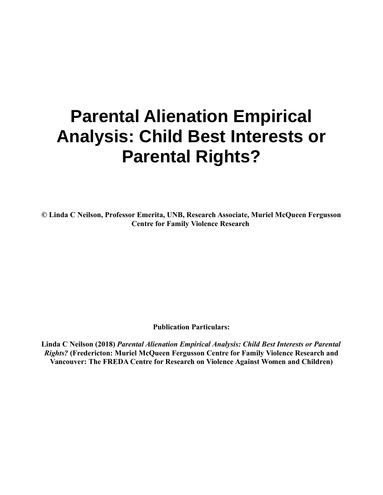# **Parental Alienation Empirical Analysis: Child Best Interests or Parental Rights?**

**© Linda C Neilson, Professor Emerita, UNB, Research Associate, Muriel McQueen Fergusson Centre for Family Violence Research** 

**Publication Particulars:**

**Linda C Neilson (2018)** *Parental Alienation Empirical Analysis: Child Best Interests or Parental Rights?* **(Fredericton: Muriel McQueen Fergusson Centre for Family Violence Research and Vancouver: The FREDA Centre for Research on Violence Against Women and Children)**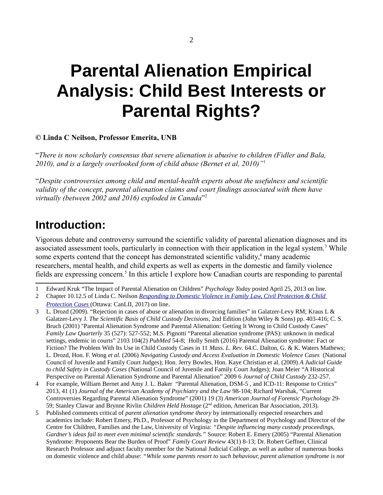# **Parental Alienation Empirical Analysis: Child Best Interests or Parental Rights?**

**© Linda C Neilson, Professor Emerita, UNB** 

"*There is now scholarly consensus that severe alienation is abusive to children (Fidler and Bala, 2010), and is a largely overlooked form of child abuse (Bernet et al, 2010)"*[1](#page-1-0)

"*Despite controversies among child and mental-health experts about the usefulness and scientific validity of the concept, parental alienation claims and court findings associated with them have virtually (between 2002 and 2016) exploded in Canada*" [2](#page-1-1)

## **Introduction:**

Vigorous debate and controversy surround the scientific validity of parental alienation diagnoses and its associated assessment tools, particularly in connection with their application in the legal system.<sup>[3](#page-1-2)</sup> While some experts contend that the concept has demonstrated scientific validity, $4$  many academic researchers, mental health, and child experts as well as experts in the domestic and family violence fields are expressing concern.<sup>[5](#page-1-4)</sup> In this article I explore how Canadian courts are responding to parental

<span id="page-1-1"></span>2 Chapter 10.12.5 of Linda C. Neilson *[Responding to Domestic Violence in Family Law, Civil Protection & Child](http://commentary.canlii.org/w/canlii/2017CanLIIDocs2)  [Protection Cases](http://commentary.canlii.org/w/canlii/2017CanLIIDocs2)* (Ottawa: CanLII, 2017) on line.

<span id="page-1-2"></span>3 L. Drozd (2009). "Rejection in cases of abuse or alienation in divorcing families" in Galatzer-Levy RM; Kraus L & Galatzer-Levy J. *The Scientific Basis of Child Custody Decisions*, 2nd Edition (John Wiley & Sons) pp. 403-416; C. S. Bruch (2001) "Parental Alienation Syndrome and Parental Alienation: Getting It Wrong in Child Custody Cases" *Family Law Quarterly* 35 (527): 527-552; M.S. Pignotti "Parental alienation syndrome (PAS): unknown in medical settings, endemic in courts" 2103 104(2) *PubMed* 54-8; Holly Smith (2016) Parental Alienation syndrome: Fact or Fiction? The Problem With Its Use in Child Custody Cases in 11 *Mass. L. Rev*. 64.C. Dalton, G. & K. Waters Mathews; L. Drozd, Hon. F. Wong *et al.* (2006) *Navigating Custody and Access Evaluation in Domestic Violence Cases* (National Council of Juvenile and Family Court Judges); Hon. Jerry Bowles, Hon. Kaye Christian et al. (2009) *A Judicial Guide to child Safety in Custody Cases* (National Council of Juvenile and Family Court Judges); Joan Meier "A Historical Perspective on Parental Alienation Syndrome and Parental Alienation" 2009 6 *Journal of Child Custody* 232-257.

- <span id="page-1-3"></span>4 For example, William Bernet and Amy J. L. Baker "Parental Alienation, DSM-5 , and ICD-11: Response to Critics" 2013, 41 (1) *Journal of the American Academy of Psychiatry and the Law* 98-104; Richard Warshak, "Current Controversies Regarding Parental Alienation Syndrome" (2001) 19 (3) *American Journal of Forensic Psychology* 29- 59; Stanley Clawar and Brynne Rivlin *Children Held Hostage* (2nd edition, American Bar Association, 2013).
- <span id="page-1-4"></span>5 Published comments critical of *parent alienation syndrome theory* by internationally respected researchers and academics include: Robert Emery, Ph.D., Professor of Psychology in the Department of Psychology and Director of the Centre for Children, Families and the Law, University of Virginia: *"Despite influencing many custody proceedings, Gardner's ideas fail to meet even minimal scientific standards."* Source: Robert E. Emery (2005) "Parental Alienation Syndrome: Proponents Bear the Burden of Proof" *Family Court Review* 43(1) 8-13; Dr. Robert Geffner, Clinical Research Professor and adjunct faculty member for the National Judicial College, as well as author of numerous books on domestic violence and child abuse: *"While some parents resort to such behaviour, parent alienation syndrome is not*

<span id="page-1-0"></span><sup>1</sup> Edward Kruk "The Impact of Parental Alienation on Children" *Psychology Today* posted April 25, 2013 on line.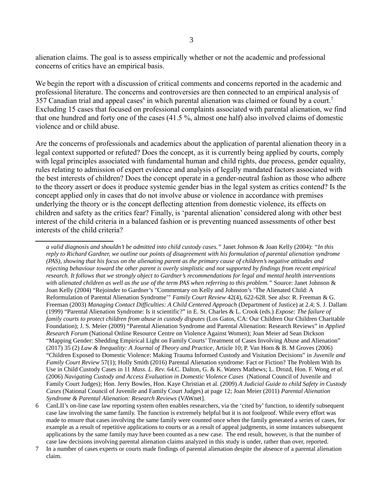alienation claims. The goal is to assess empirically whether or not the academic and professional concerns of critics have an empirical basis.

We begin the report with a discussion of critical comments and concerns reported in the academic and professional literature. The concerns and controversies are then connected to an empirical analysis of 357 Canadian trial and appeal cases<sup>[6](#page-2-0)</sup> in which parental alienation was claimed or found by a court.<sup>[7](#page-2-1)</sup> Excluding 15 cases that focused on professional complaints associated with parental alienation, we find that one hundred and forty one of the cases (41.5 %, almost one half) also involved claims of domestic violence and or child abuse.

Are the concerns of professionals and academics about the application of parental alienation theory in a legal context supported or refuted? Does the concept, as it is currently being applied by courts, comply with legal principles associated with fundamental human and child rights, due process, gender equality, rules relating to admission of expert evidence and analysis of legally mandated factors associated with the best interests of children? Does the concept operate in a gender-neutral fashion as those who adhere to the theory assert or does it produce systemic gender bias in the legal system as critics contend? Is the concept applied only in cases that do not involve abuse or violence in accordance with premises underlying the theory or is the concept deflecting attention from domestic violence, its effects on children and safety as the critics fear? Finally, is 'parental alienation' considered along with other best interest of the child criteria in a balanced fashion or is preventing nuanced assessments of other best interests of the child criteria?

*a valid diagnosis and shouldn't be admitted into child custody cases."* Janet Johnson & Joan Kelly (2004): *"In this*  reply to Richard Gardner, we outline our points of disagreement with his formulation of parental alienation syndrome *(PAS), showing that his focus on the alienating parent as the primary cause of children's negative attitudes and rejecting behaviour toward the other parent is overly simplistic and not supported by findings from recent empirical research. It follows that we strongly object to Gardner's recommendations for legal and mental health interventions with alienated children as well as the use of the term PAS when referring to this problem."* Source: Janet Johnson & Joan Kelly (2004) "Rejoinder to Gardner's "Commentary on Kelly and Johnston's 'The Alienated Child: A Reformulation of Parental Alienation Syndrome'" *Family Court Review* 42(4), 622-628. See also: R. Freeman & G. Freeman (2003) *Managing Contact Difficulties: A Child Centered Approach* (Department of Justice) at 2.4; S. J. Dallam (1999) "Parental Alienation Syndrome: Is it scientific?" in E. St. Charles & L. Crook (eds.) *Expose: The failure of family courts to protect children from abuse in custody disputes* (Los Gatos, CA: Our Children Our Children Charitable Foundation); J. S. Meier (2009) "Parental Alienation Syndrome and Parental Alienation: Research Reviews" in *Applied Research Forum* (National Online Resource Centre on Violence Against Women); Joan Meier ad Sean Dickson "Mapping Gender: Shedding Empirical Light on Family Courts' Treatment of Cases Involving Abuse and Alienation" (2017) 35 (2) *Law & Inequality: A Journal of Theory and Practice*, Article 10; P. Van Horn & B. M Groves (2006) "Children Exposed to Domestic Violence: Making Trauma Informed Custody and Visitation Decisions" in *Juvenile and Family Court Review* 57(1); Holly Smith (2016) Parental Alienation syndrome: Fact or Fiction? The Problem With Its Use in Child Custody Cases in 11 *Mass. L. Rev*. 64.C. Dalton, G. & K. Waters Mathews; L. Drozd, Hon. F. Wong *et al.* (2006) *Navigating Custody and Access Evaluation in Domestic Violence Cases* (National Council of Juvenile and Family Court Judges); Hon. Jerry Bowles, Hon. Kaye Christian et al. (2009) *A Judicial Guide to child Safety in Custody Cases* (National Council of Juvenile and Family Court Judges) at page 12; Joan Meier (2011) *Parental Alienation Syndrome & Parental Alienation: Research Reviews* (VAWnet].

<span id="page-2-0"></span><sup>6</sup> CanLII's on-line case law reporting system often enables researchers, via the 'cited by' function, to identify subsequent case law involving the same family. The function is extremely helpful but it is not foolproof. While every effort was made to ensure that cases involving the same family were counted once when the family generated a series of cases, for example as a result of repetitive applications to courts or as a result of appeal judgments, in some instances subsequent applications by the same family may have been counted as a new case. The end result, however, is that the number of case law decisions involving parental alienation claims analyzed in this study is under, rather than over, reported.

<span id="page-2-1"></span><sup>7</sup> In a number of cases experts or courts made findings of parental alienation despite the absence of a parental alienation claim.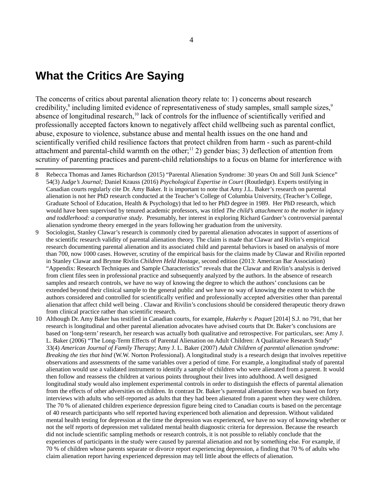## **What the Critics Are Saying**

The concerns of critics about parental alienation theory relate to: 1) concerns about research credibility, $\delta$  including limited evidence of representativeness of study samples, small sample sizes, $\delta$ absence of longitudinal research,<sup>[10](#page-3-2)</sup> lack of controls for the influence of scientifically verified and professionally accepted factors known to negatively affect child wellbeing such as parental conflict, abuse, exposure to violence, substance abuse and mental health issues on the one hand and scientifically verified child resilience factors that protect children from harm - such as parent-child attachment and parental-child warmth on the other;<sup>11</sup> 2) gender bias; 3) deflection of attention from scrutiny of parenting practices and parent-child relationships to a focus on blame for interference with

- <span id="page-3-1"></span>9 Sociologist, Stanley Clawar's research is commonly cited by parental alienation advocates in support of assertions of the scientific research validity of parental alienation theory. The claim is made that Clawar and Rivlin's empirical research documenting parental alienation and its associated child and parental behaviors is based on analysis of more than 700, now 1000 cases. However, scrutiny of the empirical basis for the claims made by Clawar and Rivilin reported in Stanley Clawar and Brynne Rivlin *Children Held Hostage*, second edition (2013: American Bar Association) "Appendix: Research Techniques and Sample Characteristics" reveals that the Clawar and Rivlin's analysis is derived from client files seen in professional practice and subsequently analyzed by the authors. In the absence of research samples and research controls, we have no way of knowing the degree to which the authors' conclusions can be extended beyond their clinical sample to the general public and we have no way of knowing the extent to which the authors considered and controlled for scientifically verified and professionally accepted adversities other than parental alienation that affect child well being . Clawar and Rivilin's conclusions should be considered therapeutic theory drawn from clinical practice rather than scientific research.
- <span id="page-3-2"></span>10 Although Dr. Amy Baker has testified in Canadian courts, for example, *Hukerby v. Paquet* [2014] S.J. no 791, that her research is longitudinal and other parental alienation advocates have advised courts that Dr. Baker's conclusions are based on 'long-term' research, her research was actually both qualitative and retrospective. For particulars, see: Amy J. L. Baker (2006) "The Long-Term Effects of Parental Alienation on Adult Children: A Qualitative Research Study" 33(4) *American Journal of Family Therapy*; Amy J. L. Baker (2007) *Adult Children of parental alienation syndrome: Breaking the ties that bind* (W.W. Norton Professional). A longitudinal study is a research design that involves repetitive observations and assessments of the same variables over a period of time. For example, a longitudinal study of parental alienation would use a validated instrument to identify a sample of children who were alienated from a parent. It would then follow and reassess the children at various points throughout their lives into adulthood. A well designed longitudinal study would also implement experimental controls in order to distinguish the effects of parental alienation from the effects of other adversities on children. In contrast Dr. Baker's parental alienation theory was based on forty interviews with adults who self-reported as adults that they had been alienated from a parent when they were children. The 70 % of alienated children experience depression figure being cited to Canadian courts is based on the percentage of 40 research participants who self reported having experienced both alienation and depression. Without validated mental health testing for depression at the time the depression was experienced, we have no way of knowing whether or not the self reports of depression met validated mental health diagnostic criteria for depression. Because the research did not include scientific sampling methods or research controls, it is not possible to reliably conclude that the experiences of participants in the study were caused by parental alienation and not by something else. For example, if 70 % of children whose parents separate or divorce report experiencing depression, a finding that 70 % of adults who claim alienation report having experienced depression may tell little about the effects of alienation.

<span id="page-3-0"></span><sup>8</sup> Rebecca Thomas and James Richardson (2015) "Parental Alienation Syndrome: 30 years On and Still Junk Science" 54(3) *Judge's Journal;* Daniel Krauss (2016) *Psychological Expertise in Court* (Routledge). Experts testifying in Canadian courts regularly cite Dr. Amy Baker. It is important to note that Amy J.L. Baker's research on parental alienation is not her PhD research conducted at the Teacher's College of Columbia University, (Teacher's College, Graduate School of Education, Health & Psychology) that led to her PhD degree in 1989. Her PhD research, which would have been supervised by tenured academic professors, was titled *The child's attachment to the mother in infancy and toddlerhood: a comparative study*. Presumably, her interest in exploring Richard Gardner's controversial parental alienation syndrome theory emerged in the years following her graduation from the university.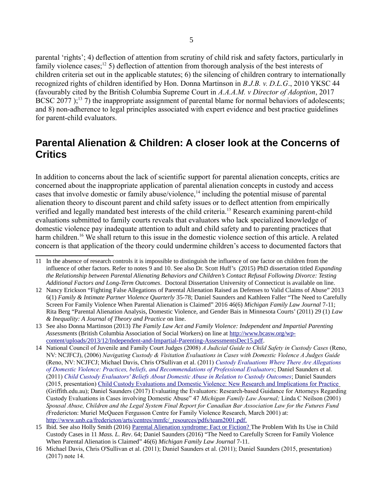parental 'rights'; 4) deflection of attention from scrutiny of child risk and safety factors, particularly in family violence cases;<sup>[12](#page-4-1)</sup> 5) deflection of attention from thorough analysis of the best interests of children criteria set out in the applicable statutes; 6) the silencing of children contrary to internationally recognized rights of children identified by Hon. Donna Martinson in *B.J.B. v. D.L.G*., 2010 YKSC 44 (favourably cited by the British Columbia Supreme Court in *A.A.A.M. v Director of Adoption*, 2017 BCSC 2077  $\mathbb{R}^{13}$  $\mathbb{R}^{13}$  $\mathbb{R}^{13}$  7) the inappropriate assignment of parental blame for normal behaviors of adolescents; and 8) non-adherence to legal principles associated with expert evidence and best practice guidelines for parent-child evaluators.

### **Parental Alienation & Children: A closer look at the Concerns of Critics**

In addition to concerns about the lack of scientific support for parental alienation concepts, critics are concerned about the inappropriate application of parental alienation concepts in custody and access cases that involve domestic or family abuse/violence,<sup>[14](#page-4-0)</sup> including the potential misuse of parental alienation theory to discount parent and child safety issues or to deflect attention from empirically verified and legally mandated best interests of the child criteria.<sup>[15](#page-4-3)</sup> Research examining parent-child evaluations submitted to family courts reveals that evaluators who lack specialized knowledge of domestic violence pay inadequate attention to adult and child safety and to parenting practices that harm children.<sup>[16](#page-4-4)</sup> We shall return to this issue in the domestic violence section of this article. A related concern is that application of the theory could undermine children's access to documented factors that

<sup>11</sup> In the absence of research controls it is impossible to distinguish the influence of one factor on children from the influence of other factors. Refer to notes [9](#page-3-1) and [10.](#page-3-2) See also Dr. Scott Huff's (2015) PhD dissertation titled *Expanding the Relationship between Parental Alienating Behaviors and Children's Contact Refusal Following Divorce: Testing Additional Factors and Long-Term Outcomes*. Doctoral Dissertation University of Connecticut is available on line.

<span id="page-4-1"></span><sup>12</sup> Nancy Erickson "Fighting False Allegations of Parental Alienation Raised as Defenses to Valid Claims of Abuse" 2013 6(1) *Family & Intimate Partner Violence Quarterly* 35-78; Daniel Saunders and Kathleen Faller "The Need to Carefully Screen For Family Violence When Parental Alienation is Claimed" 2016 46(6) *Michigan Family Law Journal* 7-11; Rita Berg "Parental Alienation Analysis, Domestic Violence, and Gender Bais in Minnesota Courts' (2011) 29 (1) *Law & Inequality: A Journal of Theory and Practice* on line.

<span id="page-4-2"></span><sup>13</sup> See also Donna Martinson (2013) *The Family Law Act and Family Violence: Independent and Impartial Parenting Assessments* (British Columbia Association of Social Workers) on line at [http://www.bcasw.org/wp](http://www.bcasw.org/wp-content/uploads/2013/12/Independent-and-Impartial-Parenting-AssessmentsDec15.pdf)[content/uploads/2013/12/Independent-and-Impartial-Parenting-AssessmentsDec15.pdf.](http://www.bcasw.org/wp-content/uploads/2013/12/Independent-and-Impartial-Parenting-AssessmentsDec15.pdf)

<span id="page-4-0"></span><sup>14</sup> National Council of Juvenile and Family Court Judges (2008) *A Judicial Guide to Child Safety in Custody Cases* (Reno, NV: NCJFCJ), (2006) *Navigating Custody & Visitation Evaluations in Cases with Domestic Violence A Judges Guide*  (Reno, NV: NCJFCJ; Michael Davis, Chris O'Sullivan et al. (2011) *[Custody Evaluations Where There Are Allegations](https://www.ncjrs.gov/pdffiles1/nij/grants/234465.pdf)  [of Domestic Violence: Practices, beliefs, and Recommendations of Professional Evaluators](https://www.ncjrs.gov/pdffiles1/nij/grants/234465.pdf)*; Daniel Saunders et al. (2011) *[Child Custody Evaluators' Beliefs About Domestic Abuse in Relation to Custody Outcomes](https://www.ncjrs.gov/pdffiles1/nij/grants/238891.pdf)*; Daniel Saunders (2015, presentation) [Child Custody Evaluations and Domestic Violence: New Research and Implications for Practice](http://www.griffith.edu.au/__data/assets/pdf_file/0010/705574/D-Saunders-custody-evaluation-res-presentation-April-15-.pdf) (Griffith.edu.au); Daniel Saunders (2017) Evaluating the Evaluators: Research-based Guidance for Attorneys Regarding Custody Evaluations in Cases involving Domestic Abuse" 47 *Michigan Family Law Journal;* Linda C Neilson (2001) *Spousal Abuse, Children and the Legal System Final Report for Canadian Bar Association Law for the Futures Fund (*Fredericton: Muriel McQueen Fergusson Centre for Family Violence Research, March 2001) at: http://www.unb.ca/fredericton/arts/centres/mmfc/\_resources/pdfs/team2001.pdf.

<span id="page-4-3"></span><sup>15</sup> Ibid. See also Holly Smith (2016) [Parental Alienation syndrome: Fact or Fiction? T](http://scholarship.law.umassd.edu/cgi/viewcontent.cgi?article=1109&context=umlr)he Problem With Its Use in Child Custody Cases in 11 *Mass. L. Rev*. 64; Daniel Saunders (2016) "The Need to Carefully Screen for Family Violence When Parental Alienation is Claimed" 46(6) *Michigan Family Law Journal* 7-11.

<span id="page-4-4"></span><sup>16</sup> Michael Davis, Chris O'Sullivan et al. (2011); Daniel Saunders et al. (2011); Daniel Saunders (2015, presentation) (2017) note [14.](#page-4-0)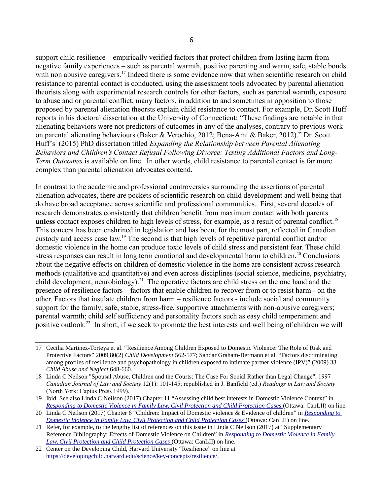support child resilience – empirically verified factors that protect children from lasting harm from negative family experiences – such as parental warmth, positive parenting and warm, safe, stable bonds with non abusive caregivers.<sup>[17](#page-5-0)</sup> Indeed there is some evidence now that when scientific research on child resistance to parental contact is conducted, using the assessment tools advocated by parental alienation theorists along with experimental research controls for other factors, such as parental warmth, exposure to abuse and or parental conflict, many factors, in addition to and sometimes in opposition to those proposed by parental alienation theorsts explain child resistance to contact. For example, Dr. Scott Huff reports in his doctoral dissertation at the University of Connecticut: "These findings are notable in that alienating behaviors were not predictors of outcomes in any of the analyses, contrary to previous work on parental alienating behaviours (Baker & Verochio, 2012; Bena-Ami & Baker, 2012)." Dr. Scott Huff's (2015) PhD dissertation titled *Expanding the Relationship between Parental Alienating Behaviors and Children's Contact Refusal Following Divorce: Testing Additional Factors and Long-Term Outcomes* is available on line. In other words, child resistance to parental contact is far more complex than parental alienation advocates contend.

In contrast to the academic and professional controversies surrounding the assertions of parental alienation advocates, there are pockets of scientific research on child development and well being that do have broad acceptance across scientific and professional communities. First, several decades of research demonstrates consistently that children benefit from maximum contact with both parents **unless** contact exposes children to high levels of stress, for example, as a result of parental conflict.<sup>[18](#page-5-1)</sup> This concept has been enshrined in legislation and has been, for the most part, reflected in Canadian custody and access case law.[19](#page-5-2) The second is that high levels of repetitive parental conflict and/or domestic violence in the home can produce toxic levels of child stress and persistent fear. These child stress responses can result in long term emotional and developmental harm to children.<sup>[20](#page-5-3)</sup> Conclusions about the negative effects on children of domestic violence in the home are consistent across research methods (qualitative and quantitative) and even across disciplines (social science, medicine, psychiatry, child development, neurobiology).<sup>[21](#page-5-4)</sup> The operative factors are child stress on the one hand and the presence of resilience factors – factors that enable children to recover from or to resist harm - on the other. Factors that insulate children from harm – resilience factors - include social and community support for the family; safe, stable, stress-free, supportive attachments with non-abusive caregivers; parental warmth; child self sufficiency and personality factors such as easy child temperament and positive outlook.<sup>[22](#page-5-5)</sup> In short, if we seek to promote the best interests and well being of children we will

<span id="page-5-0"></span><sup>17</sup> Cecilia Martinez-Torteya et al. "Resilience Among Children Exposed to Domestic Violence: The Role of Risk and Protective Factors" 2009 80(2) *Child Development* 562-577; Sandar Graham-Bermann et al. "Factors discriminating among profiles of resilience and psychopathology in children exposed to intimate partner violence (IPV)" (2009) 33 *Child Abuse and Neglect* 648-660.

<span id="page-5-1"></span><sup>18</sup> Linda C Neilson "Spousal Abuse, Children and the Courts: The Case For Social Rather than Legal Change". 1997 *Canadian Journal of Law and Society* 12(1): 101-145; republished in J. Banfield (ed.) *Readings in Law and Society*  (North York: Captus Press 1999).

<span id="page-5-2"></span><sup>19</sup> Ibid. See also Linda C Neilson (2017) Chapter 11 "Assessing child best interests in Domestic Violence Context" in *[Responding to Domestic Violence in Family Law, Civil Protection and Child Protection Cases](http://commentary.canlii.org/w/canlii/2017CanLIIDocs2)* (Ottawa: CanLII) on line.

<span id="page-5-3"></span><sup>20</sup> Linda C Neilson (2017) Chapter 6 "Children: Impact of Domestic violence & Evidence of children" in *[Responding to](http://commentary.canlii.org/w/canlii/2017CanLIIDocs2)  [Domestic Violence in Family Law, Civil Protection and Child Protection Cases](http://commentary.canlii.org/w/canlii/2017CanLIIDocs2)* (Ottawa: CanLII) on line.

<span id="page-5-4"></span><sup>21</sup> Refer, for example, to the lengthy list of references on this issue in Linda C Neilson (2017) at "Supplementary Reference Bibliography: Effects of Domestic Violence on Children" in *[Responding to Domestic Violence in Family](http://commentary.canlii.org/w/canlii/2017CanLIIDocs2)  [Law, Civil Protection and Child Protection Cases](http://commentary.canlii.org/w/canlii/2017CanLIIDocs2)* (Ottawa: CanLII) on line.

<span id="page-5-5"></span><sup>22</sup> Center on the Developing Child, Harvard University "Resilience" on line at [https://developingchild.harvard.edu/science/key-concepts/resilience/.](https://developingchild.harvard.edu/science/key-concepts/resilience/)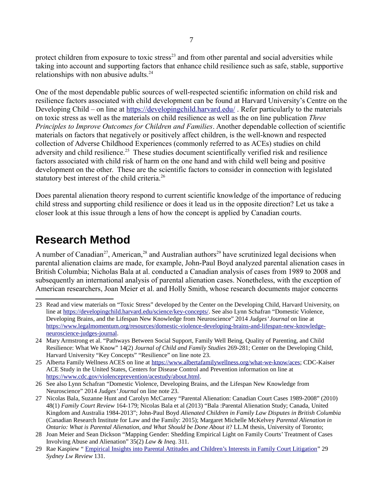protect children from exposure to toxic stress<sup>[23](#page-6-0)</sup> and from other parental and social adversities while taking into account and supporting factors that enhance child resilience such as safe, stable, supportive relationships with non abusive adults.[24](#page-6-1)

One of the most dependable public sources of well-respected scientific information on child risk and resilience factors associated with child development can be found at Harvard University's Centre on the Developing Child – on line at https://developingchild.harvard.edu/. Refer particularly to the materials on toxic stress as well as the materials on child resilience as well as the on line publication *Three Principles to Improve Outcomes for Children and Families*. Another dependable collection of scientific materials on factors that negatively or positively affect children, is the well-known and respected collection of Adverse Childhood Experiences (commonly referred to as ACEs) studies on child adversity and child resilience.<sup>[25](#page-6-2)</sup> These studies document scientifically verified risk and resilience factors associated with child risk of harm on the one hand and with child well being and positive development on the other. These are the scientific factors to consider in connection with legislated statutory best interest of the child criteria.<sup>[26](#page-6-3)</sup>

Does parental alienation theory respond to current scientific knowledge of the importance of reducing child stress and supporting child resilience or does it lead us in the opposite direction? Let us take a closer look at this issue through a lens of how the concept is applied by Canadian courts.

# **Research Method**

A number of Canadian<sup>[27](#page-6-4)</sup>, American,<sup>[28](#page-6-5)</sup> and Australian authors<sup>[29](#page-6-6)</sup> have scrutinized legal decisions when parental alienation claims are made, for example, John-Paul Boyd analyzed parental alienation cases in British Columbia; Nicholas Bala at al. conducted a Canadian analysis of cases from 1989 to 2008 and subsequently an international analysis of parental alienation cases. Nonetheless, with the exception of American researchers, Joan Meier et al. and Holly Smith, whose research documents major concerns

<span id="page-6-0"></span><sup>23</sup> Read and view materials on "Toxic Stress" developed by the Center on the Developing Child, Harvard University, on line at [https://developingchild.harvard.edu/science/key-concepts/.](https://developingchild.harvard.edu/science/key-concepts/) See also Lynn Schafran "Domestic Violence, Developing Brains, and the Lifespan New Knowledge from Neuroscience" 2014 *Judges' Journal* on line at [https://www.legalmomentum.org/resources/domestic-violence-developing-brains-and-lifespan-new-knowledge](https://www.legalmomentum.org/resources/domestic-violence-developing-brains-and-lifespan-new-knowledge-neuroscience-judges-journal)[neuroscience-judges-journal.](https://www.legalmomentum.org/resources/domestic-violence-developing-brains-and-lifespan-new-knowledge-neuroscience-judges-journal)

<span id="page-6-1"></span><sup>24</sup> Mary Armstrong et al. "Pathways Between Social Support, Family Well Being, Quality of Parenting, and Child Resilience: What We Know" 14(2) *Journal of Child and Family Studies* 269-281; Center on the Developing Child, Harvard University "Key Concepts" "Resilience" on line note [23.](#page-6-0)

<span id="page-6-2"></span><sup>25</sup> Alberta Family Wellness ACES on line at [https://www.albertafamilywellness.org/what-we-know/aces;](https://www.albertafamilywellness.org/what-we-know/aces) CDC-Kaiser ACE Study in the United States, Centers for Disease Control and Prevention information on line at [https://www.cdc.gov/violenceprevention/acestudy/about.html.](https://www.cdc.gov/violenceprevention/acestudy/about.html)

<span id="page-6-3"></span><sup>26</sup> See also Lynn Schafran "Domestic Violence, Developing Brains, and the Lifespan New Knowledge from Neuroscience" 2014 *Judges' Journal* on line note [23.](#page-6-0)

<span id="page-6-4"></span><sup>27</sup> Nicolas Bala, Suzanne Hunt and Carolyn McCarney "Parental Alienation: Canadian Court Cases 1989-2008" (2010) 48(1) *Family Court Review* 164-179; Nicolas Bala et al (2013) "Bala :Parental Alienation Study; Canada, United Kingdom and Australia 1984-2013"; John-Paul Boyd *Alienated Children in Family Law Disputes in British Columbia*  (Canadian Research Institute for Law and the Family: 2015); Margaret Michelle McKelvey *Parental Alienation in Ontario: What is Parental Alienation, and What Should be Done About it*? LL.M thesis, University of Toronto;

<span id="page-6-5"></span><sup>28</sup> Joan Meier and Sean Dickson "Mapping Gender: Shedding Empirical Light on Family Courts' Treatment of Cases Involving Abuse and Alienation" 35(2) *Law & Ineq*. 311.

<span id="page-6-6"></span><sup>29</sup> Rae Kaspiew " Empirical Insights into Parental Attitudes and Children's Interests in Family Court Litigation" 29 *Sydney Lw Review* 131.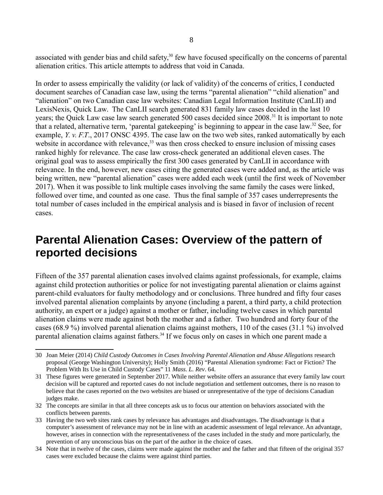associated with gender bias and child safety, $30$  few have focused specifically on the concerns of parental alienation critics. This article attempts to address that void in Canada.

In order to assess empirically the validity (or lack of validity) of the concerns of critics, I conducted document searches of Canadian case law, using the terms "parental alienation" "child alienation" and "alienation" on two Canadian case law websites: Canadian Legal Information Institute (CanLII) and LexisNexis, Quick Law. The CanLII search generated 831 family law cases decided in the last 10 years; the Quick Law case law search generated 500 cases decided since 2008.[31](#page-7-1) It is important to note that a related, alternative term, 'parental gatekeeping' is beginning to appear in the case law.[32](#page-7-2) See, for example, *Y. v. F.T*., 2017 ONSC 4395. The case law on the two web sites, ranked automatically by each website in accordance with relevance,  $33$  was then cross checked to ensure inclusion of missing cases ranked highly for relevance. The case law cross-check generated an additional eleven cases. The original goal was to assess empirically the first 300 cases generated by CanLII in accordance with relevance. In the end, however, new cases citing the generated cases were added and, as the article was being written, new "parental alienation" cases were added each week (until the first week of November 2017). When it was possible to link multiple cases involving the same family the cases were linked, followed over time, and counted as one case. Thus the final sample of 357 cases underrepresents the total number of cases included in the empirical analysis and is biased in favor of inclusion of recent cases.

# **Parental Alienation Cases: Overview of the pattern of reported decisions**

Fifteen of the 357 parental alienation cases involved claims against professionals, for example, claims against child protection authorities or police for not investigating parental alienation or claims against parent-child evaluators for faulty methodology and or conclusions. Three hundred and fifty four cases involved parental alienation complaints by anyone (including a parent, a third party, a child protection authority, an expert or a judge) against a mother or father, including twelve cases in which parental alienation claims were made against both the mother and a father. Two hundred and forty four of the cases (68.9 %) involved parental alienation claims against mothers, 110 of the cases (31.1 %) involved parental alienation claims against fathers.<sup>[34](#page-7-4)</sup> If we focus only on cases in which one parent made a

<span id="page-7-0"></span><sup>30</sup> Joan Meier (2014) *Child Custody Outcomes in Cases Involving Parental Alienation and Abuse Allegations* research proposal (George Washington University); Holly Smith (2016) "Parental Alienation syndrome: Fact or Fiction? The Problem With Its Use in Child Custody Cases" 11 *Mass. L. Rev*. 64.

<span id="page-7-1"></span><sup>31</sup> These figures were generated in September 2017. While neither website offers an assurance that every family law court decision will be captured and reported cases do not include negotiation and settlement outcomes, there is no reason to believe that the cases reported on the two websites are biased or unrepresentative of the type of decisions Canadian judges make.

<span id="page-7-2"></span><sup>32</sup> The concepts are similar in that all three concepts ask us to focus our attention on behaviors associated with the conflicts between parents.

<span id="page-7-3"></span><sup>33</sup> Having the two web sites rank cases by relevance has advantages and disadvantages. The disadvantage is that a computer's assessment of relevance may not be in line with an academic assessment of legal relevance. An advantage, however, arises in connection with the representativeness of the cases included in the study and more particularly, the prevention of any unconscious bias on the part of the author in the choice of cases.

<span id="page-7-4"></span><sup>34</sup> Note that in twelve of the cases, claims were made against the mother and the father and that fifteen of the original 357 cases were excluded because the claims were against third parties.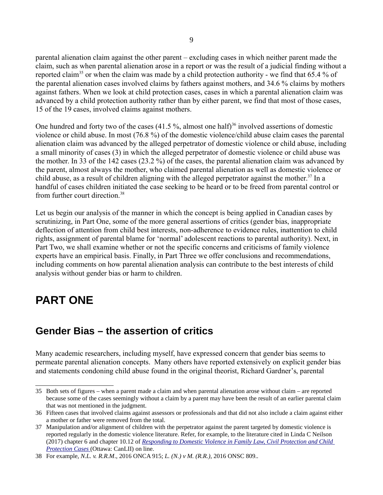parental alienation claim against the other parent – excluding cases in which neither parent made the claim, such as when parental alienation arose in a report or was the result of a judicial finding without a reported claim<sup>[35](#page-8-0)</sup> or when the claim was made by a child protection authority - we find that 65.4 % of the parental alienation cases involved claims by fathers against mothers, and 34.6 % claims by mothers against fathers. When we look at child protection cases, cases in which a parental alienation claim was advanced by a child protection authority rather than by either parent, we find that most of those cases, 15 of the 19 cases, involved claims against mothers.

One hundred and forty two of the cases  $(41.5\%$ , almost one half)<sup>[36](#page-8-1)</sup> involved assertions of domestic violence or child abuse. In most (76.8 %) of the domestic violence/child abuse claim cases the parental alienation claim was advanced by the alleged perpetrator of domestic violence or child abuse, including a small minority of cases (3) in which the alleged perpetrator of domestic violence or child abuse was the mother. In 33 of the 142 cases (23.2 %) of the cases, the parental alienation claim was advanced by the parent, almost always the mother, who claimed parental alienation as well as domestic violence or child abuse, as a result of children aligning with the alleged perpetrator against the mother.<sup>[37](#page-8-2)</sup> In a handful of cases children initiated the case seeking to be heard or to be freed from parental control or from further court direction.<sup>[38](#page-8-3)</sup>

Let us begin our analysis of the manner in which the concept is being applied in Canadian cases by scrutinizing, in Part One, some of the more general assertions of critics (gender bias, inappropriate deflection of attention from child best interests, non-adherence to evidence rules, inattention to child rights, assignment of parental blame for 'normal' adolescent reactions to parental authority). Next, in Part Two, we shall examine whether or not the specific concerns and criticisms of family violence experts have an empirical basis. Finally, in Part Three we offer conclusions and recommendations, including comments on how parental alienation analysis can contribute to the best interests of child analysis without gender bias or harm to children.

## **PART ONE**

#### **Gender Bias – the assertion of critics**

Many academic researchers, including myself, have expressed concern that gender bias seems to permeate parental alienation concepts. Many others have reported extensively on explicit gender bias and statements condoning child abuse found in the original theorist, Richard Gardner's, parental

<span id="page-8-0"></span><sup>35</sup> Both sets of figures – when a parent made a claim and when parental alienation arose without claim – are reported because some of the cases seemingly without a claim by a parent may have been the result of an earlier parental claim that was not mentioned in the judgment.

<span id="page-8-1"></span><sup>36</sup> Fifteen cases that involved claims against assessors or professionals and that did not also include a claim against either a mother or father were removed from the total.

<span id="page-8-2"></span><sup>37</sup> Manipulation and/or alignment of children with the perpetrator against the parent targeted by domestic violence is reported regularly in the domestic violence literature. Refer, for example, to the literature cited in Linda C Neilson (2017) chapter 6 and chapter 10.12 of *[Responding to Domestic Violence in Family Law, Civil Protection and Child](http://commentary.canlii.org/w/canlii/2017CanLIIDocs2)  [Protection Cases](http://commentary.canlii.org/w/canlii/2017CanLIIDocs2)* (Ottawa: CanLII) on line.

<span id="page-8-3"></span><sup>38</sup> For example, *N.L. v. R.R.M*., 2016 ONCA 915; *L. (N.) v M. (R.R.),* 2016 ONSC 809..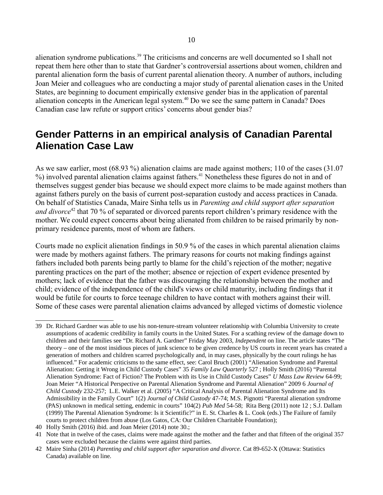alienation syndrome publications.<sup>[39](#page-9-0)</sup> The criticisms and concerns are well documented so I shall not repeat them here other than to state that Gardner's controversial assertions about women, children and parental alienation form the basis of current parental alienation theory. A number of authors, including Joan Meier and colleagues who are conducting a major study of parental alienation cases in the United States, are beginning to document empirically extensive gender bias in the application of parental alienation concepts in the American legal system.[40](#page-9-1) Do we see the same pattern in Canada? Does Canadian case law refute or support critics' concerns about gender bias?

#### **Gender Patterns in an empirical analysis of Canadian Parental Alienation Case Law**

As we saw earlier, most (68.93 %) alienation claims are made against mothers; 110 of the cases (31.07 %) involved parental alienation claims against fathers.[41](#page-9-2) Nonetheless these figures do not in and of themselves suggest gender bias because we should expect more claims to be made against mothers than against fathers purely on the basis of current post-separation custody and access practices in Canada. On behalf of Statistics Canada, Maire Sinha tells us in *Parenting and child support after separation and divorce*<sup>[42](#page-9-3)</sup> that 70 % of separated or divorced parents report children's primary residence with the mother. We could expect concerns about being alienated from children to be raised primarily by nonprimary residence parents, most of whom are fathers.

Courts made no explicit alienation findings in 50.9 % of the cases in which parental alienation claims were made by mothers against fathers. The primary reasons for courts not making findings against fathers included both parents being partly to blame for the child's rejection of the mother; negative parenting practices on the part of the mother; absence or rejection of expert evidence presented by mothers; lack of evidence that the father was discouraging the relationship between the mother and child; evidence of the independence of the child's views or child maturity, including findings that it would be futile for courts to force teenage children to have contact with mothers against their will. Some of these cases were parental alienation claims advanced by alleged victims of domestic violence

<span id="page-9-0"></span><sup>39</sup> Dr. Richard Gardner was able to use his non-tenure-stream volunteer relationship with Columbia University to create assumptions of academic credibility in family courts in the United States. For a scathing review of the damage down to children and their families see "Dr. Richard A. Gardner" Friday May 2003, *Independent* on line. The article states "The theory – one of the most insidious pieces of junk science to be given credence by US courts in recent years has created a generation of mothers and children scarred psychologically and, in may cases, physically by the court rulings he has influenced." For academic criticisms to the same effect, see: Carol Bruch (2001) "Alienation Syndrome and Parental Alienation: Getting it Wrong in Child Custody Cases" 35 *Family Law Quarterly* 527 ; Holly Smith (2016) "Parental Alienation Syndrome: Fact of Fiction? The Problem with its Use in Child Custody Cases" *U Mass Law Review* 64-99; Joan Meier "A Historical Perspective on Parental Alienation Syndrome and Parental Alienation" 2009 6 *Journal of Child Custody* 232-257; L.E. Walker et al. (2005) "A Critical Analysis of Parental Alienation Syndrome and Its Admissibility in the Family Court" 1(2) *Journal of Child Custody* 47-74; M.S. Pignotti "Parental alienation syndrome (PAS) unknown in medical setting, endemic in courts" 104(2) *Pub Med* 54-58; Rita Berg (2011) note [12](#page-4-1) ; S.J. Dallam (1999) The Parental Alienation Syndrome: Is it Scientific?" in E. St. Charles & L. Cook (eds.) The Failure of family courts to protect children from abuse (Los Gatos, CA: Our Children Charitable Foundation);

<span id="page-9-1"></span><sup>40</sup> Holly Smith (2016) ibid. and Joan Meier (2014) note [30.](#page-7-0);

<span id="page-9-2"></span><sup>41</sup> Note that in twelve of the cases, claims were made against the mother and the father and that fifteen of the original 357 cases were excluded because the claims were against third parties.

<span id="page-9-3"></span><sup>42</sup> Maire Sinha (2014) *Parenting and child support after separation and divorce.* Cat 89-652-X (Ottawa: Statistics Canada) available on line*.*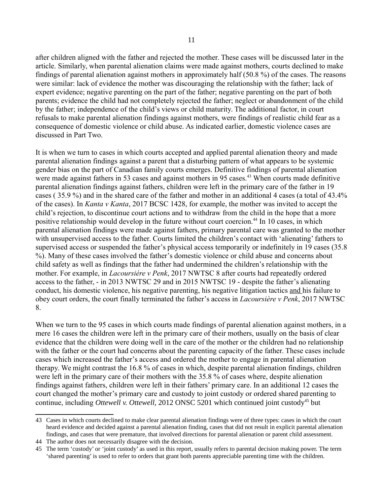after children aligned with the father and rejected the mother. These cases will be discussed later in the article. Similarly, when parental alienation claims were made against mothers, courts declined to make findings of parental alienation against mothers in approximately half (50.8 %) of the cases. The reasons were similar: lack of evidence the mother was discouraging the relationship with the father; lack of expert evidence; negative parenting on the part of the father; negative parenting on the part of both parents; evidence the child had not completely rejected the father; neglect or abandonment of the child by the father; independence of the child's views or child maturity. The additional factor, in court refusals to make parental alienation findings against mothers, were findings of realistic child fear as a consequence of domestic violence or child abuse. As indicated earlier, domestic violence cases are discussed in Part Two.

It is when we turn to cases in which courts accepted and applied parental alienation theory and made parental alienation findings against a parent that a disturbing pattern of what appears to be systemic gender bias on the part of Canadian family courts emerges. Definitive findings of parental alienation were made against fathers in 53 cases and against mothers in 95 cases.<sup>[43](#page-10-0)</sup> When courts made definitive parental alienation findings against fathers, children were left in the primary care of the father in 19 cases ( 35.9 %) and in the shared care of the father and mother in an additional 4 cases (a total of 43.4% of the cases). In *Kanta v Kanta*, 2017 BCSC 1428, for example, the mother was invited to accept the child's rejection, to discontinue court actions and to withdraw from the child in the hope that a more positive relationship would develop in the future without court coercion.<sup>[44](#page-10-1)</sup> In 10 cases, in which parental alienation findings were made against fathers, primary parental care was granted to the mother with unsupervised access to the father. Courts limited the children's contact with 'alienating' fathers to supervised access or suspended the father's physical access temporarily or indefinitely in 19 cases (35.8 %). Many of these cases involved the father's domestic violence or child abuse and concerns about child safety as well as findings that the father had undermined the children's relationship with the mother. For example, in *Lacoursiére v Penk*, 2017 NWTSC 8 after courts had repeatedly ordered access to the father, - in 2013 NWTSC 29 and in 2015 NWTSC 19 - despite the father's alienating conduct, his domestic violence, his negative parenting, his negative litigation tactics and his failure to obey court orders, the court finally terminated the father's access in *Lacoursière v Penk*, 2017 NWTSC 8.

When we turn to the 95 cases in which courts made findings of parental alienation against mothers, in a mere 16 cases the children were left in the primary care of their mothers, usually on the basis of clear evidence that the children were doing well in the care of the mother or the children had no relationship with the father or the court had concerns about the parenting capacity of the father. These cases include cases which increased the father's access and ordered the mother to engage in parental alienation therapy. We might contrast the 16.8 % of cases in which, despite parental alienation findings, children were left in the primary care of their mothers with the 35.8 % of cases where, despite alienation findings against fathers, children were left in their fathers' primary care. In an additional 12 cases the court changed the mother's primary care and custody to joint custody or ordered shared parenting to continue, including *Ottewell v. Ottewell*, 2012 ONSC 5201 which continued joint custody<sup>[45](#page-10-2)</sup> but

<span id="page-10-0"></span><sup>43</sup> Cases in which courts declined to make clear parental alienation findings were of three types: cases in which the court heard evidence and decided against a parental alienation finding, cases that did not result in explicit parental alienation findings, and cases that were premature, that involved directions for parental alienation or parent child assessment.

<span id="page-10-1"></span><sup>44</sup> The author does not necessarily disagree with the decision.

<span id="page-10-2"></span><sup>45</sup> The term 'custody' or 'joint custody' as used in this report, usually refers to parental decision making power. The term 'shared parenting' is used to refer to orders that grant both parents appreciable parenting time with the children.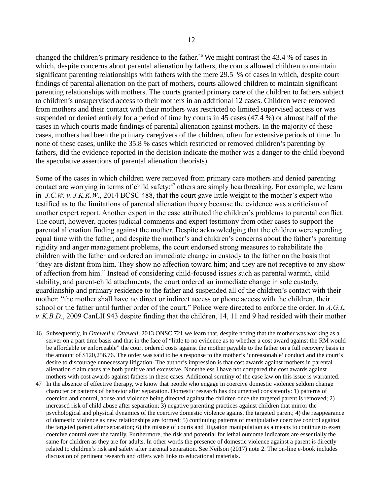changed the children's primary residence to the father.<sup>[46](#page-11-0)</sup> We might contrast the 43.4 % of cases in which, despite concerns about parental alienation by fathers, the courts allowed children to maintain significant parenting relationships with fathers with the mere 29.5 % of cases in which, despite court findings of parental alienation on the part of mothers, courts allowed children to maintain significant parenting relationships with mothers. The courts granted primary care of the children to fathers subject to children's unsupervised access to their mothers in an additional 12 cases. Children were removed from mothers and their contact with their mothers was restricted to limited supervised access or was suspended or denied entirely for a period of time by courts in 45 cases (47.4 %) or almost half of the cases in which courts made findings of parental alienation against mothers. In the majority of these cases, mothers had been the primary caregivers of the children, often for extensive periods of time. In none of these cases, unlike the 35.8 % cases which restricted or removed children's parenting by fathers, did the evidence reported in the decision indicate the mother was a danger to the child (beyond the speculative assertions of parental alienation theorists).

Some of the cases in which children were removed from primary care mothers and denied parenting contact are worrying in terms of child safety;<sup>[47](#page-11-1)</sup> others are simply heartbreaking. For example, we learn in *J.C.W. v. J.K.R.W*., 2014 BCSC 488, that the court gave little weight to the mother's expert who testified as to the limitations of parental alienation theory because the evidence was a criticism of another expert report. Another expert in the case attributed the children's problems to parental conflict. The court, however, quotes judicial comments and expert testimony from other cases to support the parental alienation finding against the mother. Despite acknowledging that the children were spending equal time with the father, and despite the mother's and children's concerns about the father's parenting rigidity and anger management problems, the court endorsed strong measures to rehabilitate the children with the father and ordered an immediate change in custody to the father on the basis that "they are distant from him. They show no affection toward him; and they are not receptive to any show of affection from him." Instead of considering child-focused issues such as parental warmth, child stability, and parent-child attachments, the court ordered an immediate change in sole custody, guardianship and primary residence to the father and suspended all of the children's contact with their mother: "the mother shall have no direct or indirect access or phone access with the children, their school or the father until further order of the court." Police were directed to enforce the order. In *A.G.L. v. K.B.D.*, 2009 CanLII 943 despite finding that the children, 14, 11 and 9 had resided with their mother

<span id="page-11-0"></span><sup>46</sup> Subsequently, in *Ottewell v. Ottewell*, 2013 ONSC 721 we learn that, despite noting that the mother was working as a server on a part time basis and that in the face of "little to no evidence as to whether a cost award against the RM would be affordable or enforceable" the court ordered costs against the mother payable to the father on a full recovery basis in the amount of \$120,256.76. The order was said to be a response to the mother's 'unreasonable' conduct and the court's desire to discourage unnecessary litigation. The author's impression is that cost awards against mothers in parental alienation claim cases are both punitive and excessive. Nonetheless I have not compared the cost awards against mothers with cost awards against fathers in these cases. Additional scrutiny of the case law on this issue is warranted.

<span id="page-11-1"></span><sup>47</sup> In the absence of effective therapy, we know that people who engage in coercive domestic violence seldom change character or patterns of behavior after separation. Domestic research has documented consistently: 1) patterns of coercion and control, abuse and violence being directed against the children once the targeted parent is removed; 2) increased risk of child abuse after separation; 3) negative parenting practices against children that mirror the psychological and physical dynamics of the coercive domestic violence against the targeted parent; 4) the reappearance of domestic violence as new relationships are formed; 5) continuing patterns of manipulative coercive control against the targeted parent after separation; 6) the misuse of courts and litigation manipulation as a means to continue to exert coercive control over the family. Furthermore, the risk and potential for lethal outcome indicators are essentially the same for children as they are for adults. In other words the presence of domestic violence against a parent is directly related to children's risk and safety after parental separation. See Neilson (2017) note [2.](#page-1-1) The on-line e-book includes discussion of pertinent research and offers web links to educational materials.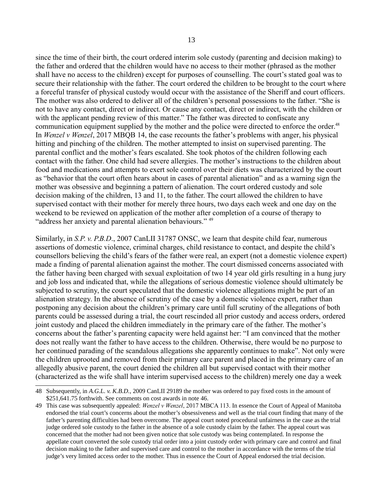since the time of their birth, the court ordered interim sole custody (parenting and decision making) to the father and ordered that the children would have no access to their mother (phrased as the mother shall have no access to the children) except for purposes of counselling. The court's stated goal was to secure their relationship with the father. The court ordered the children to be brought to the court where a forceful transfer of physical custody would occur with the assistance of the Sheriff and court officers. The mother was also ordered to deliver all of the children's personal possessions to the father. "She is not to have any contact, direct or indirect. Or cause any contact, direct or indirect, with the children or with the applicant pending review of this matter." The father was directed to confiscate any communication equipment supplied by the mother and the police were directed to enforce the order.<sup>[48](#page-12-0)</sup> In *Wenzel v Wenzel*, 2017 MBQB 14, the case recounts the father's problems with anger, his physical hitting and pinching of the children. The mother attempted to insist on supervised parenting. The parental conflict and the mother's fears escalated. She took photos of the children following each contact with the father. One child had severe allergies. The mother's instructions to the children about food and medications and attempts to exert sole control over their diets was characterized by the court as "behavior that the court often hears about in cases of parental alienation" and as a warning sign the mother was obsessive and beginning a pattern of alienation. The court ordered custody and sole decision making of the children, 13 and 11, to the father. The court allowed the children to have supervised contact with their mother for merely three hours, two days each week and one day on the weekend to be reviewed on application of the mother after completion of a course of therapy to "address her anxiety and parental alienation behaviours."<sup>[49](#page-12-1)</sup>

Similarly, in *S.P. v. P.B.D.*, 2007 CanLII 31787 ONSC, we learn that despite child fear, numerous assertions of domestic violence, criminal charges, child resistance to contact, and despite the child's counsellors believing the child's fears of the father were real, an expert (not a domestic violence expert) made a finding of parental alienation against the mother. The court dismissed concerns associated with the father having been charged with sexual exploitation of two 14 year old girls resulting in a hung jury and job loss and indicated that, while the allegations of serious domestic violence should ultimately be subjected to scrutiny, the court speculated that the domestic violence allegations might be part of an alienation strategy. In the absence of scrutiny of the case by a domestic violence expert, rather than postponing any decision about the children's primary care until full scrutiny of the allegations of both parents could be assessed during a trial, the court rescinded all prior custody and access orders, ordered joint custody and placed the children immediately in the primary care of the father. The mother's concerns about the father's parenting capacity were held against her: "I am convinced that the mother does not really want the father to have access to the children. Otherwise, there would be no purpose to her continued parading of the scandalous allegations she apparently continues to make". Not only were the children uprooted and removed from their primary care parent and placed in the primary care of an allegedly abusive parent, the court denied the children all but supervised contact with their mother (characterized as the wife shall have interim supervised access to the children) merely one day a week

<span id="page-12-0"></span><sup>48</sup> Subsequently, in *A.G.L. v. K.B.D.*, 2009 CanLII 29189 the mother was ordered to pay fixed costs in the amount of \$251,641.75 forthwith. See comments on cost awards in note [46.](#page-11-0)

<span id="page-12-1"></span><sup>49</sup> This case was subsequently appealed: *Wenzel v Wenzel*, 2017 MBCA 113. In essence the Court of Appeal of Manitoba endorsed the trial court's concerns about the mother's obsessiveness and well as the trial court finding that many of the father's parenting difficulties had been overcome. The appeal court noted procedural unfairness in the case as the trial judge ordered sole custody to the father in the absence of a sole custody claim by the father. The appeal court was concerned that the mother had not been given notice that sole custody was being contemplated. In response the appellate court converted the sole custody trial order into a joint custody order with primary care and control and final decision making to the father and supervised care and control to the mother in accordance with the terms of the trial judge's very limited access order to the mother. Thus in essence the Court of Appeal endorsed the trial decision.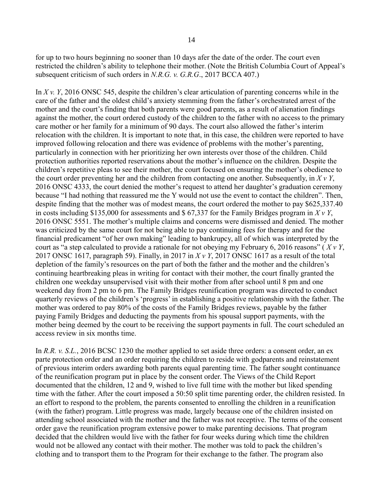for up to two hours beginning no sooner than 10 days afer the date of the order. The court even restricted the children's ability to telephone their mother. (Note the British Columbia Court of Appeal's subsequent criticism of such orders in *N.R.G. v. G.R.G*., 2017 BCCA 407.)

In *X v. Y*, 2016 ONSC 545, despite the children's clear articulation of parenting concerns while in the care of the father and the oldest child's anxiety stemming from the father's orchestrated arrest of the mother and the court's finding that both parents were good parents, as a result of alienation findings against the mother, the court ordered custody of the children to the father with no access to the primary care mother or her family for a minimum of 90 days. The court also allowed the father's interim relocation with the children. It is important to note that, in this case, the children were reported to have improved following relocation and there was evidence of problems with the mother's parenting, particularly in connection with her prioritizing her own interests over those of the children. Child protection authorities reported reservations about the mother's influence on the children. Despite the children's repetitive pleas to see their mother, the court focused on ensuring the mother's obedience to the court order preventing her and the children from contacting one another. Subsequently, in *X v Y*, 2016 ONSC 4333, the court denied the mother's request to attend her daughter's graduation ceremony because "I had nothing that reassured me the Y would not use the event to contact the children". Then, despite finding that the mother was of modest means, the court ordered the mother to pay \$625,337.40 in costs including \$135,000 for assessments and \$ 67,337 for the Family Bridges program in *X v Y*, 2016 ONSC 5551. The mother's multiple claims and concerns were dismissed and denied. The mother was criticized by the same court for not being able to pay continuing fees for therapy and for the financial predicament "of her own making" leading to bankrupcy, all of which was interpreted by the court as "a step calculated to provide a rationale for not obeying my February 6, 2016 reasons" ( *X v Y*, 2017 ONSC 1617, paragraph 59). Finally, in 2017 in *X v Y*, 2017 ONSC 1617 as a result of the total depletion of the family's resources on the part of both the father and the mother and the children's continuing heartbreaking pleas in writing for contact with their mother, the court finally granted the children one weekday unsupervised visit with their mother from after school until 8 pm and one weekend day from 2 pm to 6 pm. The Family Bridges reunification program was directed to conduct quarterly reviews of the children's 'progress' in establishing a positive relationship with the father. The mother was ordered to pay 80% of the costs of the Family Bridges reviews, payable by the father paying Family Bridges and deducting the payments from his spousal support payments, with the mother being deemed by the court to be receiving the support payments in full. The court scheduled an access review in six months time.

In *R.R. v. S.L.*, 2016 BCSC 1230 the mother applied to set aside three orders: a consent order, an ex parte protection order and an order requiring the children to reside with godparents and reinstatement of previous interim orders awarding both parents equal parenting time. The father sought continuance of the reunification program put in place by the consent order. The Views of the Child Report documented that the children, 12 and 9, wished to live full time with the mother but liked spending time with the father. After the court imposed a 50:50 split time parenting order, the children resisted. In an effort to respond to the problem, the parents consented to enrolling the children in a reunification (with the father) program. Little progress was made, largely because one of the children insisted on attending school associated with the mother and the father was not receptive. The terms of the consent order gave the reunification program extensive power to make parenting decisions. That program decided that the children would live with the father for four weeks during which time the children would not be allowed any contact with their mother. The mother was told to pack the children's clothing and to transport them to the Program for their exchange to the father. The program also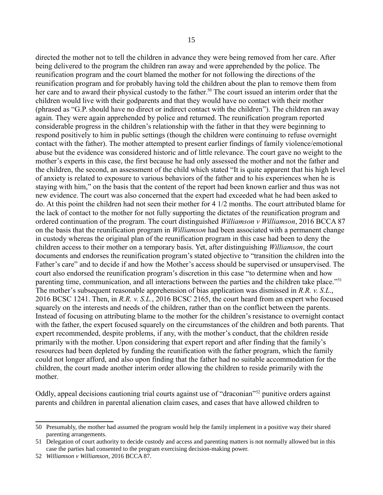directed the mother not to tell the children in advance they were being removed from her care. After being delivered to the program the children ran away and were apprehended by the police. The reunification program and the court blamed the mother for not following the directions of the reunification program and for probably having told the children about the plan to remove them from her care and to award their physical custody to the father.<sup>[50](#page-14-0)</sup> The court issued an interim order that the children would live with their godparents and that they would have no contact with their mother (phrased as "G.P. should have no direct or indirect contact with the children"). The children ran away again. They were again apprehended by police and returned. The reunification program reported considerable progress in the children's relationship with the father in that they were beginning to respond positively to him in public settings (though the children were continuing to refuse overnight contact with the father). The mother attempted to present earlier findings of family violence/emotional abuse but the evidence was considered historic and of little relevance. The court gave no weight to the mother's experts in this case, the first because he had only assessed the mother and not the father and the children, the second, an assessment of the child which stated "It is quite apparent that his high level

of anxiety is related to exposure to various behaviors of the father and to his experiences when he is staying with him," on the basis that the content of the report had been known earlier and thus was not new evidence. The court was also concerned that the expert had exceeded what he had been asked to do. At this point the children had not seen their mother for 4 1/2 months. The court attributed blame for the lack of contact to the mother for not fully supporting the dictates of the reunification program and ordered continuation of the program. The court distinguished *Williamson v Williamson*, 2016 BCCA 87 on the basis that the reunification program in *Williamson* had been associated with a permanent change in custody whereas the original plan of the reunification program in this case had been to deny the children access to their mother on a temporary basis. Yet, after distinguishing *Williamson*, the court documents and endorses the reunification program's stated objective to "transition the children into the Father's care" and to decide if and how the Mother's access should be supervised or unsupervised. The court also endorsed the reunification program's discretion in this case "to determine when and how parenting time, communication, and all interactions between the parties and the children take place."<sup>[51](#page-14-1)</sup> The mother's subsequent reasonable apprehension of bias application was dismissed in *R.R. v. S.L*., 2016 BCSC 1241. Then, in *R.R. v. S.L.*, 2016 BCSC 2165, the court heard from an expert who focused squarely on the interests and needs of the children, rather than on the conflict between the parents. Instead of focusing on attributing blame to the mother for the children's resistance to overnight contact with the father, the expert focused squarely on the circumstances of the children and both parents. That expert recommended, despite problems, if any, with the mother's conduct, that the children reside primarily with the mother. Upon considering that expert report and after finding that the family's resources had been depleted by funding the reunification with the father program, which the family could not longer afford, and also upon finding that the father had no suitable accommodation for the children, the court made another interim order allowing the children to reside primarily with the mother.

Oddly, appeal decisions cautioning trial courts against use of "draconian"<sup>[52](#page-14-2)</sup> punitive orders against parents and children in parental alienation claim cases, and cases that have allowed children to

<span id="page-14-0"></span><sup>50</sup> Presumably, the mother had assumed the program would help the family implement in a positive way their shared parenting arrangements.

<span id="page-14-1"></span><sup>51</sup> Delegation of court authority to decide custody and access and parenting matters is not normally allowed but in this case the parties had consented to the program exercising decision-making power.

<span id="page-14-2"></span><sup>52</sup> *Williamson v Williamson*, 2016 BCCA 87.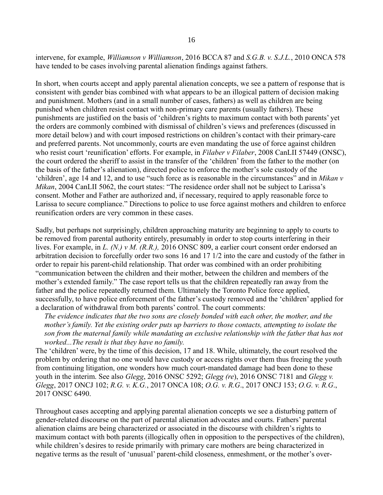intervene, for example, *Williamson v Williamson*, 2016 BCCA 87 and *S.G.B. v. S.J.L.*, 2010 ONCA 578 have tended to be cases involving parental alienation findings against fathers.

In short, when courts accept and apply parental alienation concepts, we see a pattern of response that is consistent with gender bias combined with what appears to be an illogical pattern of decision making and punishment. Mothers (and in a small number of cases, fathers) as well as children are being punished when children resist contact with non-primary care parents (usually fathers). These punishments are justified on the basis of 'children's rights to maximum contact with both parents' yet the orders are commonly combined with dismissal of children's views and preferences (discussed in more detail below) and with court imposed restrictions on children's contact with their primary-care and preferred parents. Not uncommonly, courts are even mandating the use of force against children who resist court 'reunification' efforts. For example, in *Filaber v Filaber*, 2008 CanLII 57449 (ONSC), the court ordered the sheriff to assist in the transfer of the 'children' from the father to the mother (on the basis of the father's alienation), directed police to enforce the mother's sole custody of the 'children', age 14 and 12, and to use "such force as is reasonable in the circumstances" and in *Mikan v Mikan*, 2004 CanLII 5062, the court states: "The residence order shall not be subject to Larissa's consent. Mother and Father are authorized and, if necessary, required to apply reasonable force to Larissa to secure compliance." Directions to police to use force against mothers and children to enforce reunification orders are very common in these cases.

Sadly, but perhaps not surprisingly, children approaching maturity are beginning to apply to courts to be removed from parental authority entirely, presumably in order to stop courts interfering in their lives. For example, in *L. (N.) v M. (R.R.),* 2016 ONSC 809, a earlier court consent order endorsed an arbitration decision to forcefully order two sons 16 and 17 1/2 into the care and custody of the father in order to repair his parent-child relationship. That order was combined with an order prohibiting "communication between the children and their mother, between the children and members of the mother's extended family." The case report tells us that the children repeatedly ran away from the father and the police repeatedly returned them. Ultimately the Toronto Police force applied, successfully, to have police enforcement of the father's custody removed and the 'children' applied for a declaration of withdrawal from both parents' control. The court comments:

*The evidence indicates that the two sons are closely bonded with each other, the mother, and the mother's family. Yet the existing order puts up barriers to those contacts, attempting to isolate the son from the maternal family while mandating an exclusive relationship with the father that has not worked...The result is that they have no family.* 

The 'children' were, by the time of this decision, 17 and 18. While, ultimately, the court resolved the problem by ordering that no one would have custody or access rights over them thus freeing the youth from continuing litigation, one wonders how much court-mandated damage had been done to these youth in the interim. See also *Glegg*, 2016 ONSC 5292; *Glegg (re*), 2016 ONSC 7181 and *Glegg v. Glegg*, 2017 ONCJ 102; *R.G. v. K.G.*, 2017 ONCA 108; *O.G. v. R.G*., 2017 ONCJ 153; *O.G. v. R.G*., 2017 ONSC 6490.

Throughout cases accepting and applying parental alienation concepts we see a disturbing pattern of gender-related discourse on the part of parental alienation advocates and courts. Fathers' parental alienation claims are being characterized or associated in the discourse with children's rights to maximum contact with both parents (illogically often in opposition to the perspectives of the children), while children's desires to reside primarily with primary care mothers are being characterized in negative terms as the result of 'unusual' parent-child closeness, enmeshment, or the mother's over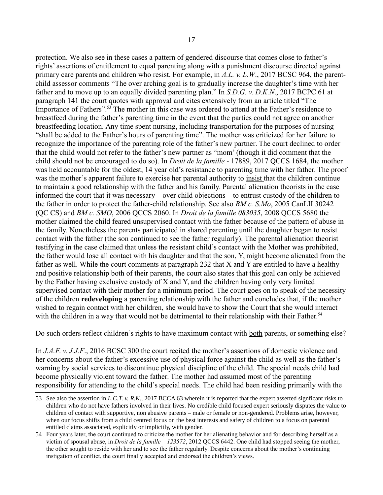protection. We also see in these cases a pattern of gendered discourse that comes close to father's rights' assertions of entitlement to equal parenting along with a punishment discourse directed against primary care parents and children who resist. For example, in *A.L. v. L.W*., 2017 BCSC 964, the parentchild assessor comments "The over arching goal is to gradually increase the daughter's time with her father and to move up to an equally divided parenting plan." In *S.D.G. v. D.K.N*., 2017 BCPC 61 at paragraph 141 the court quotes with approval and cites extensively from an article titled "The Importance of Fathers".<sup>[53](#page-16-0)</sup> The mother in this case was ordered to attend at the Father's residence to breastfeed during the father's parenting time in the event that the parties could not agree on another breastfeeding location. Any time spent nursing, including transportation for the purposes of nursing "shall be added to the Father's hours of parenting time". The mother was criticized for her failure to recognize the importance of the parenting role of the father's new partner. The court declined to order that the child would not refer to the father's new partner as "mom' (though it did comment that the child should not be encouraged to do so). In *Droit de la famille -* 17889, 2017 QCCS 1684, the mother was held accountable for the oldest, 14 year old's resistance to parenting time with her father. The proof was the mother's apparent failure to exercise her parental authority to insist that the children continue to maintain a good relationship with the father and his family. Parental alienation theorists in the case informed the court that it was necessary – over child objections – to entrust custody of the children to the father in order to protect the father-child relationship. See also *BM c. S.Mo*, 2005 CanLII 30242 (QC CS) and *BM c. SMO*, 2006 QCCS 2060. In *Droit de la famille 083035*, 2008 QCCS 5680 the mother claimed the child feared unsupervised contact with the father because of the pattern of abuse in the family. Nonetheless the parents participated in shared parenting until the daughter began to resist contact with the father (the son continued to see the father regularly). The parental alienation theorist testifying in the case claimed that unless the resistant child's contact with the Mother was prohibited, the father would lose all contact with his daughter and that the son, Y, might become alienated from the father as well. While the court comments at paragraph 232 that X and Y are entitled to have a healthy and positive relationship both of their parents, the court also states that this goal can only be achieved by the Father having exclusive custody of X and Y, and the children having only very limited supervised contact with their mother for a minimum period. The court goes on to speak of the necessity of the children **redeveloping** a parenting relationship with the father and concludes that, if the mother wished to regain contact with her children, she would have to show the Court that she would interact with the children in a way that would not be detrimental to their relationship with their Father.<sup>[54](#page-16-1)</sup>

Do such orders reflect children's rights to have maximum contact with both parents, or something else?

In *J.A.F. v. J.J.F.*, 2016 BCSC 300 the court recited the mother's assertions of domestic violence and her concerns about the father's excessive use of physical force against the child as well as the father's warning by social services to discontinue physical discipline of the child. The special needs child had become physically violent toward the father. The mother had assumed most of the parenting responsibility for attending to the child's special needs. The child had been residing primarily with the

<span id="page-16-0"></span><sup>53</sup> See also the assertion in *L.C.T. v. R.K*., 2017 BCCA 63 wherein it is reported that the expert asserted signficant risks to children who do not have fathers involved in their lives. No credible child focused expert seriously disputes the value to children of contact with supportive, non abusive parents – male or female or non-gendered. Problems arise, however, when our focus shifts from a child centred focus on the best interests and safety of children to a focus on parental entitled claims associated, explicitly or implicitly, with gender.

<span id="page-16-1"></span><sup>54</sup> Four years later, the court continued to criticize the mother for her alienating behavior and for describing herself as a victim of spousal abuse, in *Droit de la famille – 123572*, 2012 QCCS 6442. One child had stopped seeing the mother, the other sought to reside with her and to see the father regularly. Despite concerns about the mother's continuing instigation of conflict, the court finally accepted and endorsed the children's views.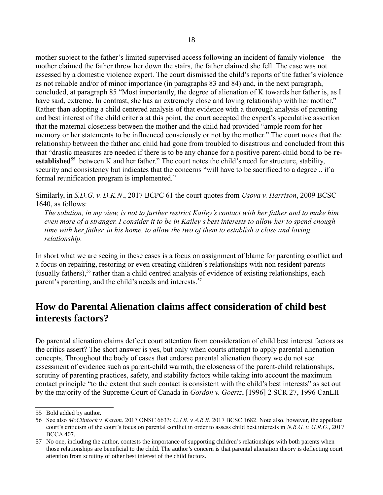mother subject to the father's limited supervised access following an incident of family violence – the mother claimed the father threw her down the stairs, the father claimed she fell. The case was not assessed by a domestic violence expert. The court dismissed the child's reports of the father's violence as not reliable and/or of minor importance (in paragraphs 83 and 84) and, in the next paragraph, concluded, at paragraph 85 "Most importantly, the degree of alienation of K towards her father is, as I have said, extreme. In contrast, she has an extremely close and loving relationship with her mother." Rather than adopting a child centered analysis of that evidence with a thorough analysis of parenting and best interest of the child criteria at this point, the court accepted the expert's speculative assertion that the maternal closeness between the mother and the child had provided "ample room for her memory or her statements to be influenced consciously or not by the mother." The court notes that the relationship between the father and child had gone from troubled to disastrous and concluded from this that "drastic measures are needed if there is to be any chance for a positive parent-child bond to be **re-**established<sup>[55](#page-17-0)</sup> between K and her father." The court notes the child's need for structure, stability, security and consistency but indicates that the concerns "will have to be sacrificed to a degree .. if a formal reunification program is implemented."

Similarly, in *S.D.G. v. D.K.N*., 2017 BCPC 61 the court quotes from *Usova v. Harrison*, 2009 BCSC 1640, as follows:

*The solution, in my view, is not to further restrict Kailey's contact with her father and to make him even more of a stranger. I consider it to be in Kailey's best interests to allow her to spend enough time with her father, in his home, to allow the two of them to establish a close and loving relationship.* 

In short what we are seeing in these cases is a focus on assignment of blame for parenting conflict and a focus on repairing, restoring or even creating children's relationships with non resident parents (usually fathers), [56](#page-17-1) rather than a child centred analysis of evidence of existing relationships, each parent's parenting, and the child's needs and interests.<sup>[57](#page-17-2)</sup>

#### **How do Parental Alienation claims affect consideration of child best interests factors?**

Do parental alienation claims deflect court attention from consideration of child best interest factors as the critics assert? The short answer is yes, but only when courts attempt to apply parental alienation concepts. Throughout the body of cases that endorse parental alienation theory we do not see assessment of evidence such as parent-child warmth, the closeness of the parent-child relationships, scrutiny of parenting practices, safety, and stability factors while taking into account the maximum contact principle "to the extent that such contact is consistent with the child's best interests" as set out by the majority of the Supreme Court of Canada in *Gordon v. Goertz*, [1996] 2 SCR 27, 1996 CanLII

<span id="page-17-0"></span><sup>55</sup> Bold added by author.

<span id="page-17-1"></span><sup>56</sup> See also *McClintock v. Karam*, 2017 ONSC 6633; *C.J.B. v A.R.B*. 2017 BCSC 1682. Note also, however, the appellate court's criticism of the court's focus on parental conflict in order to assess child best interests in *N.R.G. v. G.R.G*., 2017 BCCA 407.

<span id="page-17-2"></span><sup>57</sup> No one, including the author, contests the importance of supporting children's relationships with both parents when those relationships are beneficial to the child. The author's concern is that parental alienation theory is deflecting court attention from scrutiny of other best interest of the child factors.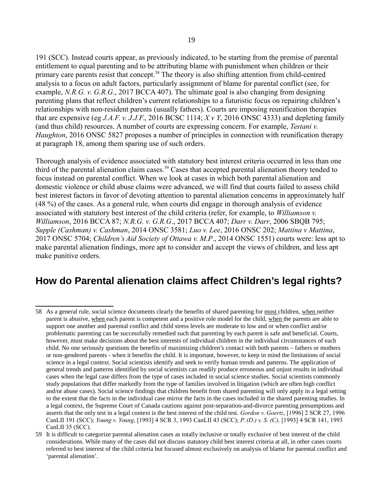191 (SCC). Instead courts appear, as previously indicated, to be starting from the premise of parental entitlement to equal parenting and to be attributing blame with punishment when children or their primary care parents resist that concept.<sup>[58](#page-18-0)</sup> The theory is also shifting attention from child-centred analysis to a focus on adult factors, particularly assignment of blame for parental conflict (see, for example, *N.R.G. v. G.R.G.*, 2017 BCCA 407). The ultimate goal is also changing from designing parenting plans that reflect children's current relationships to a futuristic focus on repairing children's relationships with non-resident parents (usually fathers). Courts are imposing reunification therapies that are expensive (eg *J.A.F. v. J.J.F.*, 2016 BCSC 1114; *X v Y*, 2016 ONSC 4333) and depleting family (and thus child) resources. A number of courts are expressing concern. For example, *Testani v. Haughton*, 2016 ONSC 5827 proposes a number of principles in connection with reunification therapy at paragraph 18, among them sparing use of such orders.

Thorough analysis of evidence associated with statutory best interest criteria occurred in less than one third of the parental alienation claim cases.<sup>[59](#page-18-1)</sup> Cases that accepted parental alienation theory tended to focus instead on parental conflict. When we look at cases in which both parental alienation and domestic violence or child abuse claims were advanced, we will find that courts failed to assess child best interest factors in favor of devoting attention to parental alienation concerns in approximately half (48 %) of the cases. As a general rule, when courts did engage in thorough analysis of evidence associated with statutory best interest of the child criteria (refer, for example, to *Williamson v. Williamson*, 2016 BCCA 87; *N.R.G. v. G.R.G*., 2017 BCCA 407; *Darr v. Darr*, 2006 SBQB 795; *Supple (Cashman) v. Cashman*, 2014 ONSC 3581; *Luo v. Lee*, 2016 ONSC 202; *Mattina v Mattina*, 2017 ONSC 5704; *Children's Aid Society of Ottawa v. M.P*., 2014 ONSC 1551) courts were: less apt to make parental alienation findings, more apt to consider and accept the views of children, and less apt make punitive orders.

#### **How do Parental alienation claims affect Children's legal rights?**

<span id="page-18-0"></span><sup>58</sup> As a general rule, social science documents clearly the benefits of shared parenting for most children, when neither parent is abusive, when each parent is competent and a positive role model for the child, when the parents are able to support one another and parental conflict and child stress levels are moderate to low and or when conflict and/or problematic parenting can be successfully remedied such that parenting by each parent is safe and beneficial. Courts, however, must make decisions about the best interests of individual children in the individual circumstances of each child. No one seriously questions the benefits of maximizing children's contact with both parents – fathers or mothers or non-gendered parents - when it benefits the child. It is important, however, to keep in mind the limitations of social science in a legal context. Social scientists identify and seek to verify human trends and patterns. The application of general trends and patterns identified by social scientists can readily produce erroneous and unjust results in individual cases when the legal case differs from the type of cases included in social science studies. Social scientists commonly study populations that differ markedly from the type of families involved in litigation (which are often high conflict and/or abuse cases). Social science findings that children benefit from shared parenting will only apply in a legal setting to the extent that the facts in the individual case mirror the facts in the cases included in the shared parenting studies. In a legal context, the Supreme Court of Canada cautions against post-separation-and-divorce parenting presumptions and asserts that the only test in a legal context is the best interest of the child test. *Gordon v. Goertz*, [1996] 2 SCR 27, 1996 CanLII 191 (SCC); *Young v. Young*, [1993] 4 SCR 3, 1993 CanLII 43 (SCC); *P. (D.) v. S. (C),* [1993] 4 SCR 141, 1993 CanLII 35 (SCC).

<span id="page-18-1"></span><sup>59</sup> It is difficult to categorize parental alienation cases as totally inclusive or totally exclusive of best interest of the child considerations. While many of the cases did not discuss statutory child best interest criteria at all, in other cases courts referred to best interest of the child criteria but focused almost exclusively on analysis of blame for parental conflict and 'parental alienation'.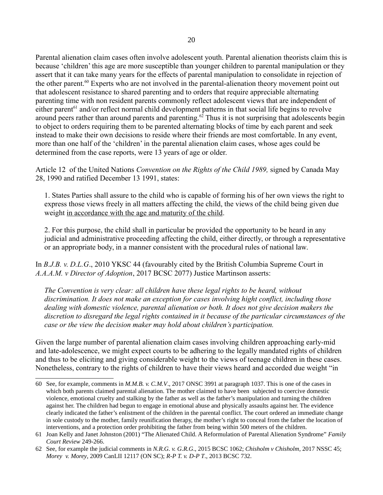Parental alienation claim cases often involve adolescent youth. Parental alienation theorists claim this is because 'children' this age are more susceptible than younger children to parental manipulation or they assert that it can take many years for the effects of parental manipulation to consolidate in rejection of the other parent.<sup>[60](#page-19-0)</sup> Experts who are not involved in the parental-alienation theory movement point out that adolescent resistance to shared parenting and to orders that require appreciable alternating parenting time with non resident parents commonly reflect adolescent views that are independent of either parent<sup>[61](#page-19-1)</sup> and/or reflect normal child development patterns in that social life begins to revolve around peers rather than around parents and parenting.<sup>[62](#page-19-2)</sup> Thus it is not surprising that adolescents begin to object to orders requiring them to be parented alternating blocks of time by each parent and seek instead to make their own decisions to reside where their friends are most comfortable. In any event, more than one half of the 'children' in the parental alienation claim cases, whose ages could be determined from the case reports, were 13 years of age or older.

Article 12 of the United Nations *Convention on the Rights of the Child 1989,* signed by Canada May 28, 1990 and ratified December 13 1991, states:

1. States Parties shall assure to the child who is capable of forming his of her own views the right to express those views freely in all matters affecting the child, the views of the child being given due weight in accordance with the age and maturity of the child.

2. For this purpose, the child shall in particular be provided the opportunity to be heard in any judicial and administrative proceeding affecting the child, either directly, or through a representative or an appropriate body, in a manner consistent with the procedural rules of national law.

In *B.J.B. v. D.L.G*., 2010 YKSC 44 (favourably cited by the British Columbia Supreme Court in *A.A.A.M. v Director of Adoption*, 2017 BCSC 2077) Justice Martinson asserts:

*The Convention is very clear: all children have these legal rights to be heard, without discrimination. It does not make an exception for cases involving hight conflict, including those dealing with domestic violence, parental alienation or both. It does not give decision makers the discretion to disregard the legal rights contained in it because of the particular circumstances of the case or the view the decision maker may hold about children's participation.*

Given the large number of parental alienation claim cases involving children approaching early-mid and late-adolescence, we might expect courts to be adhering to the legally mandated rights of children and thus to be eliciting and giving considerable weight to the views of teenage children in these cases. Nonetheless, contrary to the rights of children to have their views heard and accorded due weight "in

<span id="page-19-0"></span><sup>60</sup> See, for example, comments in *M.M.B. v. C.M.V*., 2017 ONSC 3991 at paragraph 1037. This is one of the cases in which both parents claimed parental alienation. The mother claimed to have been subjected to coercive domestic violence, emotional cruelty and stalking by the father as well as the father's manipulation and turning the children against her. The children had begun to engage in emotional abuse and physically assaults against her. The evidence clearly indicated the father's enlistment of the children in the parental conflict. The court ordered an immediate change in sole custody to the mother, family reunification therapy, the mother's right to conceal from the father the location of interventions, and a protection order prohibiting the father from being within 500 meters of the children.

<span id="page-19-1"></span><sup>61</sup> Joan Kelly and Janet Johnston (2001) "The Alienated Child. A Reformulation of Parental Alienation Syndrome" *Family Court Review* 249-266.

<span id="page-19-2"></span><sup>62</sup> See, for example the judicial comments in *N.R.G. v. G.R.G*., 2015 BCSC 1062; *Chisholm v Chisholm*, 2017 NSSC 45; *Morey v. Morey*, 2009 CanLII 12117 (ON SC); *R-P T. v. D-P T*., 2013 BCSC 732.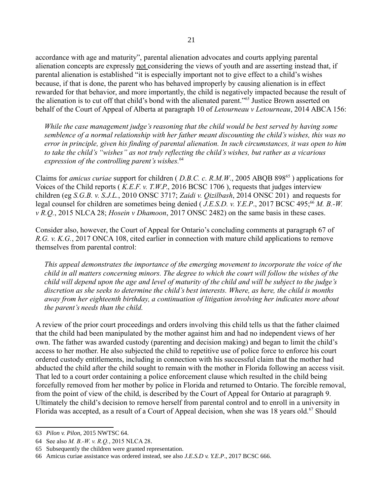accordance with age and maturity", parental alienation advocates and courts applying parental alienation concepts are expressly not considering the views of youth and are asserting instead that, if parental alienation is established "it is especially important not to give effect to a child's wishes because, if that is done, the parent who has behaved improperly by causing alienation is in effect rewarded for that behavior, and more importantly, the child is negatively impacted because the result of the alienation is to cut off that child's bond with the alienated parent."[63](#page-20-0) Justice Brown asserted on behalf of the Court of Appeal of Alberta at paragraph 10 of *Letourneau v Letourneau*, 2014 ABCA 156:

*While the case management judge's reasoning that the child would be best served by having some semblence of a normal relationship with her father meant discounting the child's wishes, this was no error in principle, given his finding of parental alienation. In such circumstances, it was open to him to take the child's "wishes" as not truly reflecting the child's wishes, but rather as a vicarious expression of the controlling parent's wishes.*[64](#page-20-1)

Claims for *amicus curiae* support for children ( *D.B.C. c. R.M.W*., 2005 ABQB 898[65](#page-20-2) ) applications for Voices of the Child reports ( *K.E.F. v. T.W.P.*, 2016 BCSC 1706 ), requests that judges interview children (eg *S.G.B. v. S.J.L.*, 2010 ONSC 3717; *Zaidi v. Qizilbash*, 2014 ONSC 201) and requests for legal counsel for children are sometimes being denied (*J.E.S.D. v. Y.E.P.*, 2017 BCSC 495;<sup>[66](#page-20-3)</sup> *M. B.-W. v R.Q.*, 2015 NLCA 28; *Hosein v Dhamoon*, 2017 ONSC 2482) on the same basis in these cases.

Consider also, however, the Court of Appeal for Ontario's concluding comments at paragraph 67 of *R.G. v. K.G.*, 2017 ONCA 108, cited earlier in connection with mature child applications to remove themselves from parental control:

*This appeal demonstrates the importance of the emerging movement to incorporate the voice of the child in all matters concerning minors. The degree to which the court will follow the wishes of the child will depend upon the age and level of maturity of the child and will be subject to the judge's discretion as she seeks to determine the child's best interests. Where, as here, the child is months away from her eighteenth birthday, a continuation of litigation involving her indicates more about the parent's needs than the child.*

A review of the prior court proceedings and orders involving this child tells us that the father claimed that the child had been manipulated by the mother against him and had no independent views of her own. The father was awarded custody (parenting and decision making) and began to limit the child's access to her mother. He also subjected the child to repetitive use of police force to enforce his court ordered custody entitlements, including in connection with his successful claim that the mother had abducted the child after the child sought to remain with the mother in Florida following an access visit. That led to a court order containing a police enforcement clause which resulted in the child being forcefully removed from her mother by police in Florida and returned to Ontario. The forcible removal, from the point of view of the child, is described by the Court of Appeal for Ontario at paragraph 9. Ultimately the child's decision to remove herself from parental control and to enroll in a university in Florida was accepted, as a result of a Court of Appeal decision, when she was 18 years old.<sup>67</sup> Should

<span id="page-20-0"></span><sup>63</sup> *Pilon v. Pilon*, 2015 NWTSC 64.

<span id="page-20-1"></span><sup>64</sup> See also *M. B.-W. v. R.Q.*, 2015 NLCA 28.

<span id="page-20-2"></span><sup>65</sup> Subsequently the children were granted representation.

<span id="page-20-3"></span><sup>66</sup> Amicus curiae assistance was ordered instead, see also *J.E.S.D v. Y.E.P*., 2017 BCSC 666.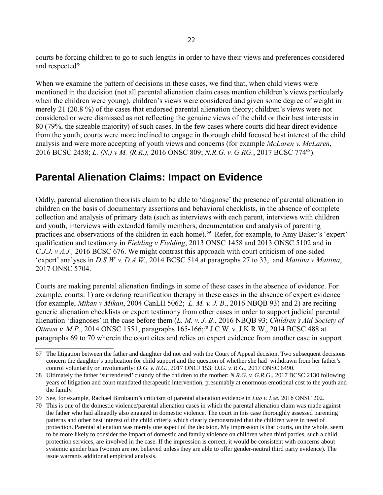courts be forcing children to go to such lengths in order to have their views and preferences considered and respected?

When we examine the pattern of decisions in these cases, we find that, when child views were mentioned in the decision (not all parental alienation claim cases mention children's views particularly when the children were young), children's views were considered and given some degree of weight in merely 21 (20.8 %) of the cases that endorsed parental alienation theory; children's views were not considered or were dismissed as not reflecting the genuine views of the child or their best interests in 80 (79%, the sizeable majority) of such cases. In the few cases where courts did hear direct evidence from the youth, courts were more inclined to engage in thorough child focused best interest of the child analysis and were more accepting of youth views and concerns (for example *McLaren v. McLaren*, 2016 BCSC 2458; *L. (N.) v M. (R.R.),* 2016 ONSC 809; *N.R.G. v. G.RG.*, 2017 BCSC 774[68](#page-21-0)).

### **Parental Alienation Claims: Impact on Evidence**

Oddly, parental alienation theorists claim to be able to 'diagnose' the presence of parental alienation in children on the basis of documentary assertions and behavioral checklists, in the absence of complete collection and analysis of primary data (such as interviews with each parent, interviews with children and youth, interviews with extended family members, documentation and analysis of parenting practices and observations of the children in each home).<sup>[69](#page-21-1)</sup> Refer, for example, to Amy Baker's 'expert' qualification and testimony in *Fielding v Fielding*, 2013 ONSC 1458 and 2013 ONSC 5102 and in *C.J.J. v A.J.,* 2016 BCSC 676. We might contrast this approach with court criticism of one-sided 'expert' analyses in *D.S.W. v. D.A.W.*, 2014 BCSC 514 at paragraphs 27 to 33, and *Mattina v Mattina*, 2017 ONSC 5704.

Courts are making parental alienation findings in some of these cases in the absence of evidence. For example, courts: 1) are ordering reunification therapy in these cases in the absence of expert evidence (for example, *Mikan v Mikan*, 2004 CanLII 5062; *L. M. v. J. B*., 2016 NBQB 93) and 2) are reciting generic alienation checklists or expert testimony from other cases in order to support judicial parental alienation 'diagnoses' in the case before them (*L. M. v. J. B*., 2016 NBQB 93; *Children's Aid Society of Ottawa v. M.P.*, 2014 ONSC 1551, paragraphs 165-166;<sup>[70](#page-21-2)</sup> J.C.W. v. J.K.R.W., 2014 BCSC 488 at paragraphs 69 to 70 wherein the court cites and relies on expert evidence from another case in support

<sup>67</sup> The litigation between the father and daughter did not end with the Court of Appeal decision. Two subsequent decisions concern the daughter's application for child support and the question of whether she had withdrawn from her father's control voluntarily or involuntarily: *O.G. v. R.G.*, 2017 ONCJ 153; *O.G. v. R.G*., 2017 ONSC 6490.

<span id="page-21-0"></span><sup>68</sup> Ultimately the father 'surrendered' custody of the children to the mother: *N.R.G. v. G.R.G*., 2017 BCSC 2130 following years of litigation and court mandated therapeutic intervention, presumably at enormous emotional cost to the youth and the family.

<span id="page-21-1"></span><sup>69</sup> See, for example, Rachael Birnbaum's criticism of parental alienation evidence in *Luo v. Lee*, 2016 ONSC 202.

<span id="page-21-2"></span><sup>70</sup> This is one of the domestic violence/parental alienation cases in which the parental alienation claim was made against the father who had allegedly also engaged in domestic violence. The court in this case thoroughly assessed parenting patterns and other best interest of the child criteria which clearly demonstrated that the children were in need of protection. Parental alienation was merely one aspect of the decision. My impression is that courts, on the whole, seem to be more likely to consider the impact of domestic and family violence on children when third parties, such a child protection services, are involved in the case. If the impression is correct, it would be consistent with concerns about systemic gender bias (women are not believed unless they are able to offer gender-neutral third party evidence). The issue warrants additional empirical analysis.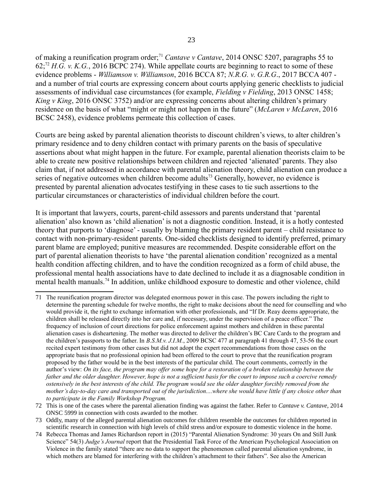of making a reunification program order;<sup>[71](#page-22-0)</sup> *Cantave v Cantave*, 2014 ONSC 5207, paragraphs 55 to 62;[72](#page-22-1) *H.G. v. K.G.*, 2016 BCPC 274). While appellate courts are beginning to react to some of these evidence problems - *Williamson v. Williamson*, 2016 BCCA 87; *N.R.G. v. G.R.G*., 2017 BCCA 407 and a number of trial courts are expressing concern about courts applying generic checklists to judicial assessments of individual case circumstances (for example, *Fielding v Fielding*, 2013 ONSC 1458; *King v King*, 2016 ONSC 3752) and/or are expressing concerns about altering children's primary residence on the basis of what "might or might not happen in the future" (*McLaren v McLaren*, 2016 BCSC 2458), evidence problems permeate this collection of cases.

Courts are being asked by parental alienation theorists to discount children's views, to alter children's primary residence and to deny children contact with primary parents on the basis of speculative assertions about what might happen in the future. For example, parental alienation theorists claim to be able to create new positive relationships between children and rejected 'alienated' parents. They also claim that, if not addressed in accordance with parental alienation theory, child alienation can produce a series of negative outcomes when children become adults<sup>[73](#page-22-2)</sup> Generally, however, no evidence is presented by parental alienation advocates testifying in these cases to tie such assertions to the particular circumstances or characteristics of individual children before the court.

It is important that lawyers, courts, parent-child assessors and parents understand that 'parental alienation' also known as 'child alienation' is not a diagnostic condition. Instead, it is a hotly contested theory that purports to 'diagnose' - usually by blaming the primary resident parent – child resistance to contact with non-primary-resident parents. One-sided checklists designed to identify preferred, primary parent blame are employed; punitive measures are recommended. Despite considerable effort on the part of parental alienation theorists to have 'the parental alienation condition' recognized as a mental health condition affecting children, and to have the condition recognized as a form of child abuse, the professional mental health associations have to date declined to include it as a diagnosable condition in mental health manuals.<sup>[74](#page-22-3)</sup> In addition, unlike childhood exposure to domestic and other violence, child

<span id="page-22-0"></span><sup>71</sup> The reunification program director was delegated enormous power in this case. The powers including the right to determine the parenting schedule for twelve months, the right to make decisions about the need for counselling and who would provide it, the right to exchange information with other professionals, and "If Dr. Reay deems appropriate, the children shall be released directly into her care and, if necessary, under the supervision of a peace officer." The frequency of inclusion of court directions for police enforcement against mothers and children in these parental alienation cases is disheartening. The mother was directed to deliver the children's BC Care Cards to the program and the children's passports to the father. In *B.S.M.v. J.I.M.*, 2009 BCSC 477 at paragraph 41 through 47, 53-56 the court recited expert testimony from other cases but did not adopt the expert recommendations from those cases on the appropriate basis that no professional opinion had been offered to the court to prove that the reunification program proposed by the father would be in the best interests of the particular child. The court comments, correctly in the author's view: *On its face, the program may offer some hope for a restoration of a broken relationship between the father and the older daughter. However, hope is not a sufficient basis for the court to impose such a coercive remedy ostensively in the best interests of the child. The program would see the older daughter forcibly removed from the mother's day-to-day care and transported out of the jurisdiction....where she would have little if any choice other than to participate in the Family Workshop Program.*

<span id="page-22-1"></span><sup>72</sup> This is one of the cases where the parental alienation finding was against the father. Refer to *Cantave v. Cantave*, 2014 ONSC 5999 in connection with costs awarded to the mother.

<span id="page-22-2"></span><sup>73</sup> Oddly, many of the alleged parental alienation outcomes for children resemble the outcomes for children reported in scientific research in connection with high levels of child stress and/or exposure to domestic violence in the home.

<span id="page-22-3"></span><sup>74</sup> Rebecca Thomas and James Richardson report in (2015) "Parental Alienation Syndrome: 30 years On and Still Junk Science" 54(3) *Judge's Journal* report that the Presidential Task Force of the American Psychological Association on Violence in the family stated "there are no data to support the phenomenon called parental alienation syndrome, in which mothers are blamed for interfering with the children's attachment to their fathers". See also the American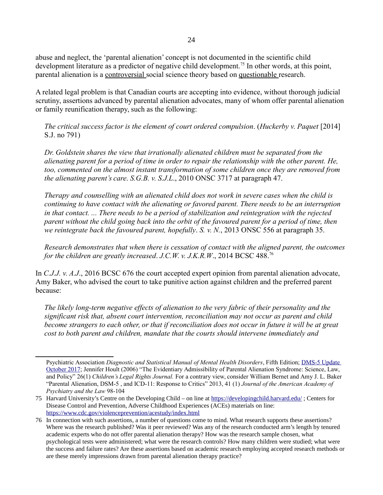abuse and neglect, the 'parental alienation' concept is not documented in the scientific child development literature as a predictor of negative child development.<sup>[75](#page-23-0)</sup> In other words, at this point, parental alienation is a controversial social science theory based on questionable research.

A related legal problem is that Canadian courts are accepting into evidence, without thorough judicial scrutiny, assertions advanced by parental alienation advocates, many of whom offer parental alienation or family reunification therapy, such as the following:

*The critical success factor is the element of court ordered compulsion*. (*Huckerby v. Paquet* [2014] S.J. no 791)

*Dr. Goldstein shares the view that irrationally alienated children must be separated from the alienating parent for a period of time in order to repair the relationship with the other parent. He, too, commented on the almost instant transformation of some children once they are removed from the alienating parent's care*. *S.G.B. v. S.J.L*., 2010 ONSC 3717 at paragraph 47.

*Therapy and counselling with an alienated child does not work in severe cases when the child is continuing to have contact with the alienating or favored parent. There needs to be an interruption in that contact. ... There needs to be a period of stabilization and reintegration with the rejected parent without the child going back into the orbit of the favoured parent for a period of time, then we reintegrate back the favoured parent, hopefully*. *S. v. N.*, 2013 ONSC 556 at paragraph 35.

*Research demonstrates that when there is cessation of contact with the aligned parent, the outcomes for the children are greatly increased*. *J.C.W. v. J.K.R.W*., 2014 BCSC 488.[76](#page-23-1)

In *C.J.J. v. A.J*., 2016 BCSC 676 the court accepted expert opinion from parental alienation advocate, Amy Baker, who advised the court to take punitive action against children and the preferred parent because:

*The likely long-term negative effects of alienation to the very fabric of their personality and the significant risk that, absent court intervention, reconciliation may not occur as parent and child*  become strangers to each other, or that if reconciliation does not occur in future it will be at great *cost to both parent and children, mandate that the courts should intervene immediately and* 

Psychiatric Association *Diagnostic and Statistical Manual of Mental Health Disorders*, Fifth Edition; [DMS-5 Update](https://dsm.psychiatryonline.org/pb-assets/dsm/update/DSM5Update_October2017.pdf)  [October 2017;](https://dsm.psychiatryonline.org/pb-assets/dsm/update/DSM5Update_October2017.pdf) Jennifer Hoult (2006) "The Evidentiary Admissibility of Parental Alienation Syndrome: Science, Law, and Policy" 26(1) *Children's Legal Rights Journal.* For a contrary view, consider William Bernet and Amy J. L. Baker "Parental Alienation, DSM-5 , and ICD-11: Response to Critics" 2013, 41 (1) *Journal of the American Academy of Psychiatry and the Law* 98-104

<span id="page-23-0"></span><sup>75</sup> Harvard University's Centre on the Developing Child – on line at<https://developingchild.harvard.edu/>; Centers for Disease Control and Prevention, Adverse Childhood Experiences (ACEs) materials on line: <https://www.cdc.gov/violenceprevention/acestudy/index.html>

<span id="page-23-1"></span><sup>76</sup> In connection with such assertions, a number of questions come to mind. What research supports these assertions? Where was the research published? Was it peer reviewed? Was any of the research conducted arm's length by tenured academic experts who do not offer parental alienation therapy? How was the research sample chosen, what psychological tests were administered; what were the research controls? How many children were studied; what were the success and failure rates? Are these assertions based on academic research employing accepted research methods or are these merely impressions drawn from parental alienation therapy practice?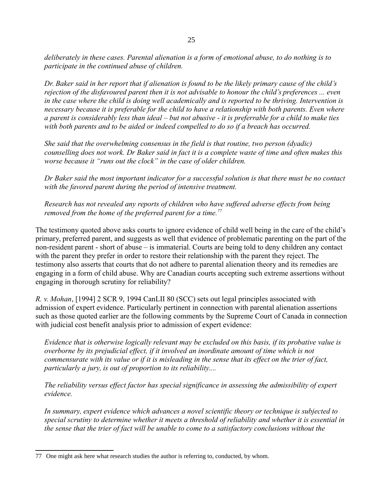*deliberately in these cases. Parental alienation is a form of emotional abuse, to do nothing is to participate in the continued abuse of children.* 

*Dr. Baker said in her report that if alienation is found to be the likely primary cause of the child's rejection of the disfavoured parent then it is not advisable to honour the child's preferences ... even in the case where the child is doing well academically and is reported to be thriving. Intervention is necessary because it is preferable for the child to have a relationship with both parents. Even where a parent is considerably less than ideal – but not abusive - it is preferrable for a child to make ties with both parents and to be aided or indeed compelled to do so if a breach has occurred.* 

*She said that the overwhelming consensus in the field is that routine, two person (dyadic) counselling does not work. Dr Baker said in fact it is a complete waste of time and often makes this worse because it "runs out the clock" in the case of older children.*

*Dr Baker said the most important indicator for a successful solution is that there must be no contact with the favored parent during the period of intensive treatment.* 

*Research has not revealed any reports of children who have suffered adverse effects from being removed from the home of the preferred parent for a time.[77](#page-24-0)*

The testimony quoted above asks courts to ignore evidence of child well being in the care of the child's primary, preferred parent, and suggests as well that evidence of problematic parenting on the part of the non-resident parent - short of abuse – is immaterial. Courts are being told to deny children any contact with the parent they prefer in order to restore their relationship with the parent they reject. The testimony also asserts that courts that do not adhere to parental alienation theory and its remedies are engaging in a form of child abuse. Why are Canadian courts accepting such extreme assertions without engaging in thorough scrutiny for reliability?

*R. v. Mohan*, [1994] 2 SCR 9, 1994 CanLII 80 (SCC) sets out legal principles associated with admission of expert evidence. Particularly pertinent in connection with parental alienation assertions such as those quoted earlier are the following comments by the Supreme Court of Canada in connection with judicial cost benefit analysis prior to admission of expert evidence:

*Evidence that is otherwise logically relevant may be excluded on this basis, if its probative value is overborne by its prejudicial effect, if it involved an inordinate amount of time which is not commensurate with its value or if it is misleading in the sense that its effect on the trier of fact, particularly a jury, is out of proportion to its reliability....* 

*The reliability versus effect factor has special significance in assessing the admissibility of expert evidence.*

*In summary, expert evidence which advances a novel scientific theory or technique is subjected to special scrutiny to determine whether it meets a threshold of reliability and whether it is essential in the sense that the trier of fact will be unable to come to a satisfactory conclusions without the* 

<span id="page-24-0"></span><sup>77</sup> One might ask here what research studies the author is referring to, conducted, by whom.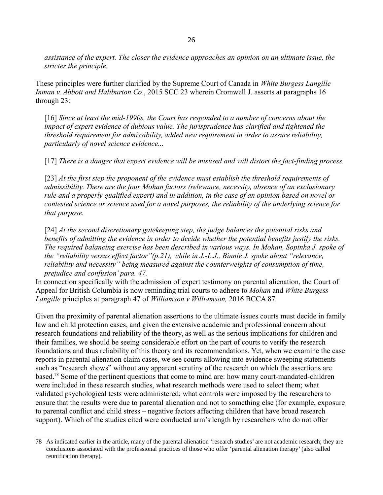*assistance of the expert. The closer the evidence approaches an opinion on an ultimate issue, the stricter the principle.*

These principles were further clarified by the Supreme Court of Canada in *White Burgess Langille Inman v. Abbott and Haliburton Co*., 2015 SCC 23 wherein Cromwell J. asserts at paragraphs 16 through 23:

[16] *Since at least the mid-1990s, the Court has responded to a number of concerns about the impact of expert evidence of dubious value. The jurisprudence has clarified and tightened the threshold requirement for admissibility, added new requirement in order to assure reliability, particularly of novel science evidence...*

[17] *There is a danger that expert evidence will be misused and will distort the fact-finding process.*

[23] *At the first step the proponent of the evidence must establish the threshold requirements of admissibility. There are the four Mohan factors (relevance, necessity, absence of an exclusionary rule and a properly qualified expert) and in addition, in the case of an opinion based on novel or contested science or science used for a novel purposes, the reliability of the underlying science for that purpose.*

[24] *At the second discretionary gatekeeping step, the judge balances the potential risks and benefits of admitting the evidence in order to decide whether the potential benefits justify the risks. The required balancing exercise has been described in various ways. In Mohan, Sopinka J. spoke of the "reliability versus effect factor"(p.21), while in J.-L.J., Binnie J. spoke about "relevance, reliability and necessity" being measured against the counterweights of consumption of time, prejudice and confusion' para. 47.*

In connection specifically with the admission of expert testimony on parental alienation, the Court of Appeal for British Columbia is now reminding trial courts to adhere to *Mohan* and *White Burgess Langille* principles at paragraph 47 of *Williamson v Williamson,* 2016 BCCA 87*.*

Given the proximity of parental alienation assertions to the ultimate issues courts must decide in family law and child protection cases, and given the extensive academic and professional concern about research foundations and reliability of the theory, as well as the serious implications for children and their families, we should be seeing considerable effort on the part of courts to verify the research foundations and thus reliability of this theory and its recommendations. Yet, when we examine the case reports in parental alienation claim cases, we see courts allowing into evidence sweeping statements such as "research shows" without any apparent scrutiny of the research on which the assertions are based.[78](#page-25-0) Some of the pertinent questions that come to mind are: how many court-mandated-children were included in these research studies, what research methods were used to select them; what validated psychological tests were administered; what controls were imposed by the researchers to ensure that the results were due to parental alienation and not to something else (for example, exposure to parental conflict and child stress – negative factors affecting children that have broad research support). Which of the studies cited were conducted arm's length by researchers who do not offer

<span id="page-25-0"></span><sup>78</sup> As indicated earlier in the article, many of the parental alienation 'research studies' are not academic research; they are conclusions associated with the professional practices of those who offer 'parental alienation therapy' (also called reunification therapy).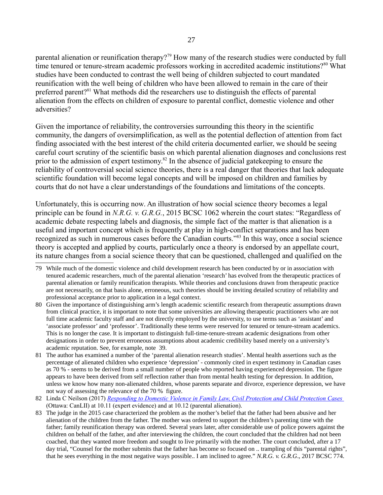parental alienation or reunification therapy?<sup>[79](#page-26-0)</sup> How many of the research studies were conducted by full time tenured or tenure-stream academic professors working in accredited academic institutions?<sup>[80](#page-26-1)</sup> What studies have been conducted to contrast the well being of children subjected to court mandated reunification with the well being of children who have been allowed to remain in the care of their preferred parent?<sup>[81](#page-26-2)</sup> What methods did the researchers use to distinguish the effects of parental alienation from the effects on children of exposure to parental conflict, domestic violence and other adversities?

Given the importance of reliability, the controversies surrounding this theory in the scientific community, the dangers of oversimplification, as well as the potential deflection of attention from fact finding associated with the best interest of the child criteria documented earlier, we should be seeing careful court scrutiny of the scientific basis on which parental alienation diagnoses and conclusions rest prior to the admission of expert testimony.<sup>[82](#page-26-3)</sup> In the absence of judicial gatekeeping to ensure the reliability of controversial social science theories, there is a real danger that theories that lack adequate scientific foundation will become legal concepts and will be imposed on children and families by courts that do not have a clear understandings of the foundations and limitations of the concepts.

Unfortunately, this is occurring now. An illustration of how social science theory becomes a legal principle can be found in *N.R.G. v. G.R.G.*, 2015 BCSC 1062 wherein the court states: "Regardless of academic debate respecting labels and diagnosis, the simple fact of the matter is that alienation is a useful and important concept which is frequently at play in high-conflict separations and has been recognized as such in numerous cases before the Canadian courts."[83](#page-26-4) In this way, once a social science theory is accepted and applied by courts, particularly once a theory is endorsed by an appellate court, its nature changes from a social science theory that can be questioned, challenged and qualified on the

- <span id="page-26-1"></span>80 Given the importance of distinguishing arm's length academic scientific research from therapeutic assumptions drawn from clinical practice, it is important to note that some universities are allowing therapeutic practitioners who are not full time academic faculty staff and are not directly employed by the university, to use terms such as 'assistant' and 'associate professor' and 'professor'. Traditionally these terms were reserved for tenured or tenure-stream academics. This is no longer the case. It is important to distinguish full-time-tenure-stream academic designations from other designations in order to prevent erroneous assumptions about academic credibility based merely on a university's academic reputation. See, for example, note [39.](#page-9-0)
- <span id="page-26-2"></span>81 The author has examined a number of the 'parental alienation research studies'. Mental health assertions such as the percentage of alienated children who experience 'depression' - commonly cited in expert testimony in Canadian cases as 70 % - seems to be derived from a small number of people who reported having experienced depression. The figure appears to have been derived from self reflection rather than from mental health testing for depression. In addition, unless we know how many non-alienated children, whose parents separate and divorce, experience depression, we have not way of assessing the relevance of the 70 % figure.

<span id="page-26-3"></span>82 Linda C Neilson (2017) *[Responding to Domestic Violence in Family Law, Civil Protection and Child Protection Cases](http://commentary.canlii.org/w/canlii/2017CanLIIDocs2)*  [\(](http://commentary.canlii.org/w/canlii/2017CanLIIDocs2)Ottawa: CanLII) at 10.11 (expert evidence) and at 10.12 (parental alienation).

<span id="page-26-4"></span>83 The judge in the 2015 case characterized the problem as the mother's belief that the father had been abusive and her alienation of the children from the father. The mother was ordered to support the children's parenting time with the father; family reunification therapy was ordered. Several years later, after considerable use of police powers against the children on behalf of the father, and after interviewing the children, the court concluded that the children had not been coached, that they wanted more freedom and sought to live primarily with the mother. The court concluded, after a 17 day trial, "Counsel for the mother submits that the father has become so focused on .. trampling of this "parental rights", that he sees everything in the most negative ways possible.. I am inclined to agree." *N.R.G. v. G.R.G*., 2017 BCSC 774.

<span id="page-26-0"></span><sup>79</sup> While much of the domestic violence and child development research has been conducted by or in association with tenured academic researchers, much of the parental alienation 'research' has evolved from the therapeutic practices of parental alienation or family reunification therapists. While theories and conclusions drawn from therapeutic practice are not necessarily, on that basis alone, erroneous, such theories should be inviting detailed scrutiny of reliability and professional acceptance prior to application in a legal context.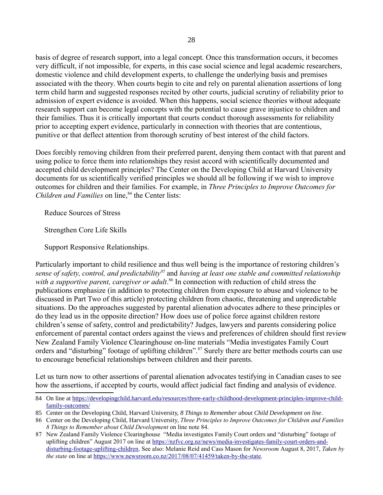basis of degree of research support, into a legal concept. Once this transformation occurs, it becomes very difficult, if not impossible, for experts, in this case social science and legal academic researchers, domestic violence and child development experts, to challenge the underlying basis and premises associated with the theory. When courts begin to cite and rely on parental alienation assertions of long term child harm and suggested responses recited by other courts, judicial scrutiny of reliability prior to admission of expert evidence is avoided. When this happens, social science theories without adequate research support can become legal concepts with the potential to cause grave injustice to children and their families. Thus it is critically important that courts conduct thorough assessments for reliability prior to accepting expert evidence, particularly in connection with theories that are contentious, punitive or that deflect attention from thorough scrutiny of best interest of the child factors.

Does forcibly removing children from their preferred parent, denying them contact with that parent and using police to force them into relationships they resist accord with scientifically documented and accepted child development principles? The Center on the Developing Child at Harvard University documents for us scientifically verified principles we should all be following if we wish to improve outcomes for children and their families. For example, in *Three Principles to Improve Outcomes for Children and Families* on line,<sup>[84](#page-27-0)</sup> the Center lists:

Reduce Sources of Stress

Strengthen Core Life Skills

Support Responsive Relationships.

Particularly important to child resilience and thus well being is the importance of restoring children's *sense of safety, control, and predictability[85](#page-27-1)* and *having at least one stable and committed relationship*  with a supportive parent, caregiver or adult.<sup>[86](#page-27-2)</sup> In connection with reduction of child stress the publications emphasize (in addition to protecting children from exposure to abuse and violence to be discussed in Part Two of this article) protecting children from chaotic, threatening and unpredictable situations. Do the approaches suggested by parental alienation advocates adhere to these principles or do they lead us in the opposite direction? How does use of police force against children restore children's sense of safety, control and predictability? Judges, lawyers and parents considering police enforcement of parental contact orders against the views and preferences of children should first review New Zealand Family Violence Clearinghouse on-line materials "Media investigates Family Court orders and "disturbing" footage of uplifting children".<sup>[87](#page-27-3)</sup> Surely there are better methods courts can use to encourage beneficial relationships between children and their parents.

Let us turn now to other assertions of parental alienation advocates testifying in Canadian cases to see how the assertions, if accepted by courts, would affect judicial fact finding and analysis of evidence.

<span id="page-27-0"></span><sup>84</sup> On line at [https://developingchild.harvard.edu/resources/three-early-childhood-development-principles-improve-child](https://developingchild.harvard.edu/resources/three-early-childhood-development-principles-improve-child-family-outcomes/)[family-outcomes/](https://developingchild.harvard.edu/resources/three-early-childhood-development-principles-improve-child-family-outcomes/)

<span id="page-27-1"></span><sup>85</sup> Center on the Developing Child, Harvard University, *8 Things to Remember about Child Development on line*.

<span id="page-27-2"></span><sup>86</sup> Center on the Developing Child, Harvard University, *Three Principles to Improve Outcomes for Children and Families 8 Things to Remember about Child Development* on line note [84.](#page-27-0)

<span id="page-27-3"></span><sup>87</sup> New Zealand Family Violence Clearinghouse "Media investigates Family Court orders and "disturbing" footage of uplifting children" August 2017 on line at [https://nzfvc.org.nz/news/media-investigates-family-court-orders-and](https://nzfvc.org.nz/news/media-investigates-family-court-orders-and-disturbing-footage-uplifting-children)[disturbing-footage-uplifting-children.](https://nzfvc.org.nz/news/media-investigates-family-court-orders-and-disturbing-footage-uplifting-children) See also: Melanie Reid and Cass Mason for *Newsroom* August 8, 2017, *Taken by the state* on line at [https://www.newsroom.co.nz/2017/08/07/41459/taken-by-the-state.](https://www.newsroom.co.nz/2017/08/07/41459/taken-by-the-state)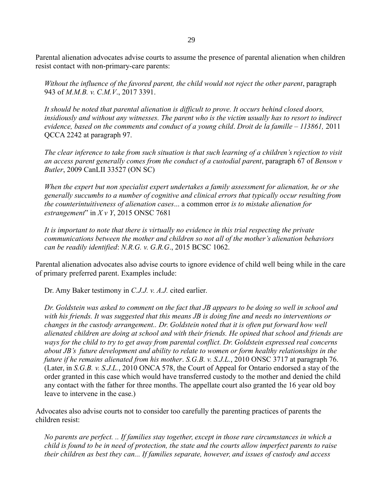Parental alienation advocates advise courts to assume the presence of parental alienation when children resist contact with non-primary-care parents:

*Without the influence of the favored parent, the child would not reject the other parent*, paragraph 943 of *M.M.B. v. C.M.V*., 2017 3391.

*It should be noted that parental alienation is difficult to prove. It occurs behind closed doors, insidiously and without any witnesses. The parent who is the victim usually has to resort to indirect evidence, based on the comments and conduct of a young child*. *Droit de la famille – 113861,* 2011 QCCA 2242 at paragraph 97.

*The clear inference to take from such situation is that such learning of a children's rejection to visit an access parent generally comes from the conduct of a custodial parent*, paragraph 67 of *Benson v Butler*, 2009 CanLII 33527 (ON SC)

*When the expert but non specialist expert undertakes a family assessment for alienation, he or she generally succumbs to a number of cognitive and clinical errors that typically occur resulting from the counterintuitiveness of alienation cases*... a common error *is to mistake alienation for estrangement*" in *X v Y*, 2015 ONSC 7681

*It is important to note that there is virtually no evidence in this trial respecting the private communications between the mother and children so not all of the mother's alienation behaviors can be readily identified*: *N.R.G. v. G.R.G*., 2015 BCSC 1062.

Parental alienation advocates also advise courts to ignore evidence of child well being while in the care of primary preferred parent. Examples include:

Dr. Amy Baker testimony in *C.J.J. v. A.J.* cited earlier.

*Dr. Goldstein was asked to comment on the fact that JB appears to be doing so well in school and with his friends. It was suggested that this means JB is doing fine and needs no interventions or changes in the custody arrangement.. Dr. Goldstein noted that it is often put forward how well alienated children are doing at school and with their friends. He opined that school and friends are ways for the child to try to get away from parental conflict. Dr. Goldstein expressed real concerns about JB's future development and ability to relate to women or form healthy relationships in the future if he remains alienated from his mother*. *S.G.B. v. S.J.L.*, 2010 ONSC 3717 at paragraph 76. (Later, in *S.G.B. v. S.J.L.*, 2010 ONCA 578, the Court of Appeal for Ontario endorsed a stay of the order granted in this case which would have transferred custody to the mother and denied the child any contact with the father for three months. The appellate court also granted the 16 year old boy leave to intervene in the case.)

Advocates also advise courts not to consider too carefully the parenting practices of parents the children resist:

*No parents are perfect. .. If families stay together, except in those rare circumstances in which a child is found to be in need of protection, the state and the courts allow imperfect parents to raise their children as best they can... If families separate, however, and issues of custody and access*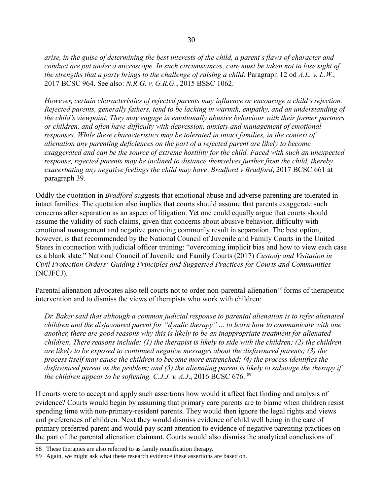*arise, in the guise of determining the best interests of the child, a parent's flaws of character and conduct are put under a microscope. In such circumstances, care must be taken not to lose sight of the strengths that a party brings to the challenge of raising a child*. Paragraph 12 od *A.L. v. L.W.*, 2017 BCSC 964. See also: *N.R.G. v. G.R.G.*, 2015 BSSC 1062.

*However, certain characteristics of rejected parents may influence or encourage a child's rejection. Rejected parents, generally fathers, tend to be lacking in warmth, empathy, and an understanding of the child's viewpoint. They may engage in emotionally abusive behaviour with their former partners or children, and often have difficulty with depression, anxiety and management of emotional responses. While these characteristics may be tolerated in intact families, in the context of alienation any parenting deficiences on the part of a rejected parent are likely to become exaggerated and can be the source of extreme hostility for the child. Faced with such an unexpected response, rejected parents may be inclined to distance themselves further from the child, thereby exacerbating any negative feelings the child may have*. *Bradford v Bradford*, 2017 BCSC 661 at paragraph 39.

Oddly the quotation in *Bradford* suggests that emotional abuse and adverse parenting are tolerated in intact families. The quotation also implies that courts should assume that parents exaggerate such concerns after separation as an aspect of litigation. Yet one could equally argue that courts should assume the validity of such claims, given that concerns about abusive behavior, difficulty with emotional management and negative parenting commonly result in separation. The best option, however, is that recommended by the National Council of Juvenile and Family Courts in the United States in connection with judicial officer training: "overcoming implicit bias and how to view each case as a blank slate." National Council of Juvenile and Family Courts (2017) *Custody and Visitation in Civil Protection Orders: Guiding Principles and Suggested Practices for Courts and Communities*  (NCJFCJ).

Parental alienation advocates also tell courts not to order non-parental-alienation<sup>[88](#page-29-0)</sup> forms of therapeutic intervention and to dismiss the views of therapists who work with children:

*Dr. Baker said that although a common judicial response to parental alienation is to refer alienated children and the disfavoured parent for "dyadic therapy" ... to learn how to communicate with one another, there are good reasons why this is likely to be an inappropriate treatment for alienated children. There reasons include: (1) the therapist is likely to side with the children; (2) the children are likely to be exposed to continued negative messages about the disfavoured parents; (3) the process itself may cause the children to become more entrenched; (4) the process identifies the disfavoured parent as the problem; and (5) the alienating parent is likely to sabotage the therapy if the children appear to be softening. C.J.J. v. A.J*., 2016 BCSC 676. [89](#page-29-1)

If courts were to accept and apply such assertions how would it affect fact finding and analysis of evidence? Courts would begin by assuming that primary care parents are to blame when children resist spending time with non-primary-resident parents. They would then ignore the legal rights and views and preferences of children. Next they would dismiss evidence of child well being in the care of primary preferred parent and would pay scant attention to evidence of negative parenting practices on the part of the parental alienation claimant. Courts would also dismiss the analytical conclusions of

<span id="page-29-0"></span><sup>88</sup> These therapies are also referred to as family reunification therapy.

<span id="page-29-1"></span><sup>89</sup> Again, we might ask what these research evidence these assertions are based on.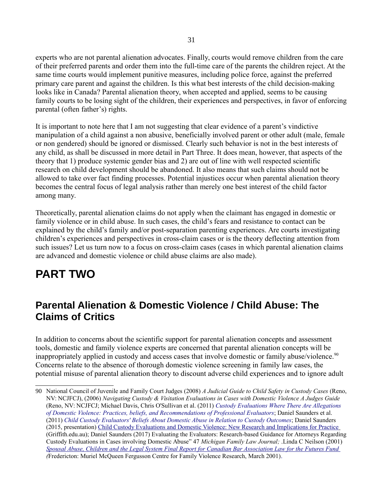experts who are not parental alienation advocates. Finally, courts would remove children from the care of their preferred parents and order them into the full-time care of the parents the children reject. At the same time courts would implement punitive measures, including police force, against the preferred primary care parent and against the children. Is this what best interests of the child decision-making looks like in Canada? Parental alienation theory, when accepted and applied, seems to be causing family courts to be losing sight of the children, their experiences and perspectives, in favor of enforcing parental (often father's) rights.

It is important to note here that I am not suggesting that clear evidence of a parent's vindictive manipulation of a child against a non abusive, beneficially involved parent or other adult (male, female or non gendered) should be ignored or dismissed. Clearly such behavior is not in the best interests of any child, as shall be discussed in more detail in Part Three. It does mean, however, that aspects of the theory that 1) produce systemic gender bias and 2) are out of line with well respected scientific research on child development should be abandoned. It also means that such claims should not be allowed to take over fact finding processes. Potential injustices occur when parental alienation theory becomes the central focus of legal analysis rather than merely one best interest of the child factor among many.

Theoretically, parental alienation claims do not apply when the claimant has engaged in domestic or family violence or in child abuse. In such cases, the child's fears and resistance to contact can be explained by the child's family and/or post-separation parenting experiences. Are courts investigating children's experiences and perspectives in cross-claim cases or is the theory deflecting attention from such issues? Let us turn now to a focus on cross-claim cases (cases in which parental alienation claims are advanced and domestic violence or child abuse claims are also made).

# **PART TWO**

## **Parental Alienation & Domestic Violence / Child Abuse: The Claims of Critics**

In addition to concerns about the scientific support for parental alienation concepts and assessment tools, domestic and family violence experts are concerned that parental alienation concepts will be inappropriately applied in custody and access cases that involve domestic or family abuse/violence.<sup>[90](#page-30-0)</sup> Concerns relate to the absence of thorough domestic violence screening in family law cases, the potential misuse of parental alienation theory to discount adverse child experiences and to ignore adult

<span id="page-30-0"></span><sup>90</sup> National Council of Juvenile and Family Court Judges (2008) *A Judicial Guide to Child Safety in Custody Cases* (Reno, NV: NCJFCJ), (2006) *Navigating Custody & Visitation Evaluations in Cases with Domestic Violence A Judges Guide*  (Reno, NV: NCJFCJ; Michael Davis, Chris O'Sullivan et al. (2011) *[Custody Evaluations Where There Are Allegations](https://www.ncjrs.gov/pdffiles1/nij/grants/234465.pdf)  [of Domestic Violence: Practices, beliefs, and Recommendations of Professional Evaluators](https://www.ncjrs.gov/pdffiles1/nij/grants/234465.pdf)*; Daniel Saunders et al. (2011) *[Child Custody Evaluators' Beliefs About Domestic Abuse in Relation to Custody Outcomes](https://www.ncjrs.gov/pdffiles1/nij/grants/238891.pdf)*; Daniel Saunders (2015, presentation) [Child Custody Evaluations and Domestic Violence: New Research and Implications for Practice](http://www.griffith.edu.au/__data/assets/pdf_file/0010/705574/D-Saunders-custody-evaluation-res-presentation-April-15-.pdf) (Griffith.edu.au); Daniel Saunders (2017) Evaluating the Evaluators: Research-based Guidance for Attorneys Regarding Custody Evaluations in Cases involving Domestic Abuse" 47 *Michigan Family Law Journal;* .Linda C Neilson (2001) *[Spousal Abuse, Children and the Legal System Final Report for Canadian Bar Association Law for the Futures Fund](http://www.unb.ca/fredericton/arts/centres/mmfc/_resources/pdfs/team2001.pdf)  [\(](http://www.unb.ca/fredericton/arts/centres/mmfc/_resources/pdfs/team2001.pdf)*Fredericton: Muriel McQueen Fergusson Centre for Family Violence Research, March 2001).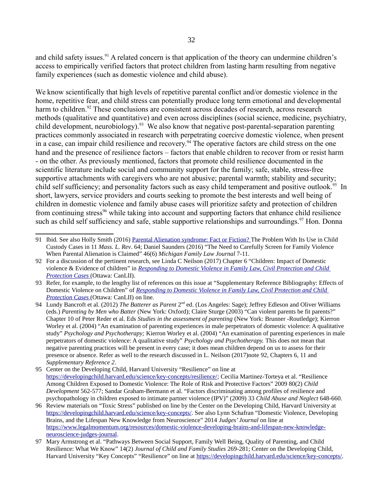and child safety issues.<sup>[91](#page-31-1)</sup> A related concern is that application of the theory can undermine children's access to empirically verified factors that protect children from lasting harm resulting from negative family experiences (such as domestic violence and child abuse).

We know scientifically that high levels of repetitive parental conflict and/or domestic violence in the home, repetitive fear, and child stress can potentially produce long term emotional and developmental harm to children.<sup>[92](#page-31-0)</sup> These conclusions are consistent across decades of research, across research methods (qualitative and quantitative) and even across disciplines (social science, medicine, psychiatry, child development, neurobiology).<sup>[93](#page-31-2)</sup> We also know that negative post-parental-separation parenting practices commonly associated in research with perpetrating coercive domestic violence, when present in a case, can impair child resilience and recovery.<sup>[94](#page-31-3)</sup> The operative factors are child stress on the one hand and the presence of resilience factors – factors that enable children to recover from or resist harm - on the other. As previously mentioned, factors that promote child resilience documented in the scientific literature include social and community support for the family; safe, stable, stress-free supportive attachments with caregivers who are not abusive; parental warmth; stability and security; child self sufficiency; and personality factors such as easy child temperament and positive outlook.<sup>[95](#page-31-4)</sup> In short, lawyers, service providers and courts seeking to promote the best interests and well being of children in domestic violence and family abuse cases will prioritize safety and protection of children from continuing stress<sup>[96](#page-31-5)</sup> while taking into account and supporting factors that enhance child resilience such as child self sufficiency and safe, stable supportive relationships and surroundings.<sup>[97](#page-31-6)</sup> Hon. Donna

<span id="page-31-1"></span><sup>91</sup> Ibid. See also Holly Smith (2016) [Parental Alienation syndrome: Fact or Fiction? T](http://scholarship.law.umassd.edu/cgi/viewcontent.cgi?article=1109&context=umlr)he Problem With Its Use in Child Custody Cases in 11 *Mass. L. Rev*. 64; Daniel Saunders (2016) "The Need to Carefully Screen for Family Violence When Parental Alienation is Claimed" 46(6) *Michigan Family Law Journal* 7-11.

<span id="page-31-0"></span><sup>92</sup> For a discussion of the pertinent research, see Linda C Neilson (2017) Chapter 6 "Children: Impact of Domestic violence & Evidence of children" in *[Responding to Domestic Violence in Family Law, Civil Protection and Child](http://commentary.canlii.org/w/canlii/2017CanLIIDocs2)  [Protection Cases](http://commentary.canlii.org/w/canlii/2017CanLIIDocs2)* (Ottawa: CanLII).

<span id="page-31-2"></span><sup>93</sup> Refer, for example, to the lengthy list of references on this issue at "Supplementary Reference Bibliography: Effects of Domestic Violence on Children" of *[Responding to Domestic Violence in Family Law, Civil Protection and Child](http://commentary.canlii.org/w/canlii/2017CanLIIDocs2)  [Protection Cases](http://commentary.canlii.org/w/canlii/2017CanLIIDocs2)* (Ottawa: CanLII) on line.

<span id="page-31-3"></span><sup>94</sup> Lundy Bancroft et al. (2012) *The Batterer as Parent* 2<sup>nd</sup> ed. (Los Angeles: Sage); Jeffrey Edleson and Oliver Williams (eds.) *Parenting by Men who Batter* (New York: Oxford); Claire Sturge (2003) "Can violent parents be fit parents?" Chapter 10 of Peter Reder et al. Eds *Studies in the assessment of parenting* (New York: Brunner -Routledge); Kierron Worley et al. (2004) "An examination of parenting experiences in male perpetrators of domestic violence: A qualitative study" *Psychology and Psychotherapy;* Kierron Worley et al. (2004) "An examination of parenting experiences in male perpetrators of domestic violence: A qualitative study" *Psychology and Psychotherapy.* This does not mean that negative parenting practices will be present in every case; it does mean children depend on us to assess for their presence or absence. Refer as well to the research discussed in L. Neilson (2017)note [92,](#page-31-0) Chapters 6, 11 and *Supplementary Reference 2*.

<span id="page-31-4"></span><sup>95</sup> Center on the Developing Child, Harvard University "Resilience" on line at [https://developingchild.harvard.edu/science/key-concepts/resilience/;](https://developingchild.harvard.edu/science/key-concepts/resilience/) Cecilia Martinez-Torteya et al. "Resilience Among Children Exposed to Domestic Violence: The Role of Risk and Protective Factors" 2009 80(2) *Child Development* 562-577; Sandar Graham-Bermann et al. "Factors discriminating among profiles of resilience and psychopathology in children exposed to intimate partner violence (IPV)" (2009) 33 *Child Abuse and Neglect* 648-660.

<span id="page-31-5"></span><sup>96</sup> Review materials on "Toxic Stress" published on line by the Center on the Developing Child, Harvard University at [https://developingchild.harvard.edu/science/key-concepts/.](https://developingchild.harvard.edu/science/key-concepts/) See also Lynn Schafran "Domestic Violence, Developing Brains, and the Lifespan New Knowledge from Neuroscience" 2014 *Judges' Journal* on line at [https://www.legalmomentum.org/resources/domestic-violence-developing-brains-and-lifespan-new-knowledge](https://www.legalmomentum.org/resources/domestic-violence-developing-brains-and-lifespan-new-knowledge-neuroscience-judges-journal)[neuroscience-judges-journal.](https://www.legalmomentum.org/resources/domestic-violence-developing-brains-and-lifespan-new-knowledge-neuroscience-judges-journal)

<span id="page-31-6"></span><sup>97</sup> Mary Armstrong et al. "Pathways Between Social Support, Family Well Being, Quality of Parenting, and Child Resilience: What We Know" 14(2) *Journal of Child and Family Studies* 269-281; Center on the Developing Child, Harvard University "Key Concepts" "Resilience" on line at [https://developingchild.harvard.edu/science/key-concepts/.](https://developingchild.harvard.edu/science/key-concepts/)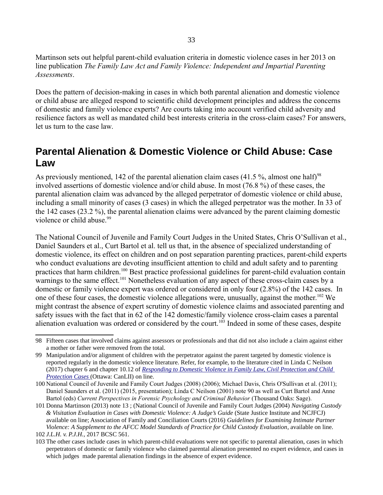Martinson sets out helpful parent-child evaluation criteria in domestic violence cases in her 2013 on line publication *The Family Law Act and Family Violence: Independent and Impartial Parenting Assessments*.

Does the pattern of decision-making in cases in which both parental alienation and domestic violence or child abuse are alleged respond to scientific child development principles and address the concerns of domestic and family violence experts? Are courts taking into account verified child adversity and resilience factors as well as mandated child best interests criteria in the cross-claim cases? For answers, let us turn to the case law.

#### **Parental Alienation & Domestic Violence or Child Abuse: Case Law**

As previously mentioned, 142 of the parental alienation claim cases (41.5 %, almost one half)<sup>[98](#page-32-0)</sup> involved assertions of domestic violence and/or child abuse. In most (76.8 %) of these cases, the parental alienation claim was advanced by the alleged perpetrator of domestic violence or child abuse, including a small minority of cases (3 cases) in which the alleged perpetrator was the mother. In 33 of the 142 cases (23.2 %), the parental alienation claims were advanced by the parent claiming domestic violence or child abuse.<sup>[99](#page-32-1)</sup>

The National Council of Juvenile and Family Court Judges in the United States, Chris O'Sullivan et al., Daniel Saunders et al., Curt Bartol et al. tell us that, in the absence of specialized understanding of domestic violence, its effect on children and on post separation parenting practices, parent-child experts who conduct evaluations are devoting insufficient attention to child and adult safety and to parenting practices that harm children.[100](#page-32-2) Best practice professional guidelines for parent-child evaluation contain warnings to the same effect.<sup>[101](#page-32-3)</sup> Nonetheless evaluation of any aspect of these cross-claim cases by a domestic or family violence expert was ordered or considered in only four (2.8%) of the 142 cases. In one of these four cases, the domestic violence allegations were, unusually, against the mother.<sup>[102](#page-32-4)</sup> We might contrast the absence of expert scrutiny of domestic violence claims and associated parenting and safety issues with the fact that in 62 of the 142 domestic/family violence cross-claim cases a parental alienation evaluation was ordered or considered by the court.<sup>[103](#page-32-5)</sup> Indeed in some of these cases, despite

<span id="page-32-0"></span><sup>98</sup> Fifteen cases that involved claims against assessors or professionals and that did not also include a claim against either a mother or father were removed from the total.

<span id="page-32-1"></span><sup>99</sup> Manipulation and/or alignment of children with the perpetrator against the parent targeted by domestic violence is reported regularly in the domestic violence literature. Refer, for example, to the literature cited in Linda C Neilson (2017) chapter 6 and chapter 10.12 of *[Responding to Domestic Violence in Family Law, Civil Protection and Child](http://commentary.canlii.org/w/canlii/2017CanLIIDocs2)  [Protection Cases](http://commentary.canlii.org/w/canlii/2017CanLIIDocs2)* (Ottawa: CanLII) on line.

<span id="page-32-2"></span><sup>100</sup> National Council of Juvenile and Family Court Judges (2008) (2006); Michael Davis, Chris O'Sullivan et al. (2011); Daniel Saunders et al. (2011) (2015, presentation); Linda C Neilson (2001) note [90](#page-30-0) as well as Curt Bartol and Anne Bartol (eds) *Current Perspectives in Forensic Psychology and Criminal Behavior* (Thousand Oaks: Sage).

<span id="page-32-3"></span><sup>101</sup> Donna Martinson (2013) note [13](#page-4-2) ; (National Council of Juvenile and Family Court Judges (2004) *Navigating Custody & Visitation Evaluation in Cases with Domestic Violence: A Judge's Guide* (State Justice Institute and NCJFCJ) available on line; Association of Family and Conciliation Courts (2016) *Guidelines for Examining Intimate Partner Violence: A Supplement to the AFCC Model Standards of Practice for Child Custody Evaluation*, available on line. 102 *J.L.H. v. P.J.H.*, 2017 BCSC 561.

<span id="page-32-4"></span>

<span id="page-32-5"></span><sup>103</sup> The other cases include cases in which parent-child evaluations were not specific to parental alienation, cases in which perpetrators of domestic or family violence who claimed parental alienation presented no expert evidence, and cases in which judges made parental alienation findings in the absence of expert evidence.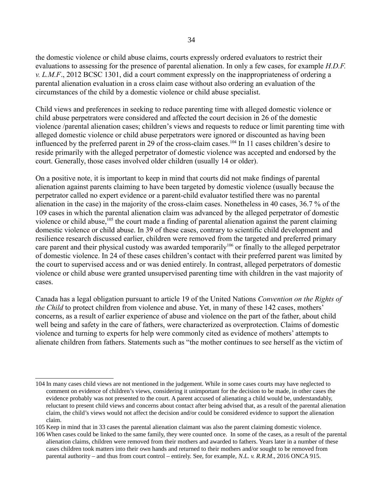the domestic violence or child abuse claims, courts expressly ordered evaluators to restrict their evaluations to assessing for the presence of parental alienation. In only a few cases, for example *H.D.F. v. L.M.F*., 2012 BCSC 1301, did a court comment expressly on the inappropriateness of ordering a parental alienation evaluation in a cross claim case without also ordering an evaluation of the circumstances of the child by a domestic violence or child abuse specialist.

Child views and preferences in seeking to reduce parenting time with alleged domestic violence or child abuse perpetrators were considered and affected the court decision in 26 of the domestic violence /parental alienation cases; children's views and requests to reduce or limit parenting time with alleged domestic violence or child abuse perpetrators were ignored or discounted as having been influenced by the preferred parent in 29 of the cross-claim cases.<sup>[104](#page-33-0)</sup> In 11 cases children's desire to reside primarily with the alleged perpetrator of domestic violence was accepted and endorsed by the court. Generally, those cases involved older children (usually 14 or older).

On a positive note, it is important to keep in mind that courts did not make findings of parental alienation against parents claiming to have been targeted by domestic violence (usually because the perpetrator called no expert evidence or a parent-child evaluator testified there was no parental alienation in the case) in the majority of the cross-claim cases. Nonetheless in 40 cases, 36.7 % of the 109 cases in which the parental alienation claim was advanced by the alleged perpetrator of domestic violence or child abuse, $105$  the court made a finding of parental alienation against the parent claiming domestic violence or child abuse. In 39 of these cases, contrary to scientific child development and resilience research discussed earlier, children were removed from the targeted and preferred primary care parent and their physical custody was awarded temporarily<sup>[106](#page-33-2)</sup> or finally to the alleged perpetrator of domestic violence. In 24 of these cases children's contact with their preferred parent was limited by the court to supervised access and or was denied entirely. In contrast, alleged perpetrators of domestic violence or child abuse were granted unsupervised parenting time with children in the vast majority of cases.

Canada has a legal obligation pursuant to article 19 of the United Nations *Convention on the Rights of the Child* to protect children from violence and abuse. Yet, in many of these 142 cases, mothers' concerns, as a result of earlier experience of abuse and violence on the part of the father, about child well being and safety in the care of fathers, were characterized as overprotection. Claims of domestic violence and turning to experts for help were commonly cited as evidence of mothers' attempts to alienate children from fathers. Statements such as "the mother continues to see herself as the victim of

<span id="page-33-0"></span><sup>104</sup> In many cases child views are not mentioned in the judgement. While in some cases courts may have neglected to comment on evidence of children's views, considering it unimportant for the decision to be made, in other cases the evidence probably was not presented to the court. A parent accused of alienating a child would be, understandably, reluctant to present child views and concerns about contact after being advised that, as a result of the parental alienation claim, the child's views would not affect the decision and/or could be considered evidence to support the alienation claim.

<span id="page-33-1"></span><sup>105</sup> Keep in mind that in 33 cases the parental alienation claimant was also the parent claiming domestic violence.

<span id="page-33-2"></span><sup>106</sup> When cases could be linked to the same family, they were counted once. In some of the cases, as a result of the parental alienation claims, children were removed from their mothers and awarded to fathers. Years later in a number of these cases children took matters into their own hands and returned to their mothers and/or sought to be removed from parental authority – and thus from court control – entirely. See, for example, *N.L. v. R.R.M*., 2016 ONCA 915.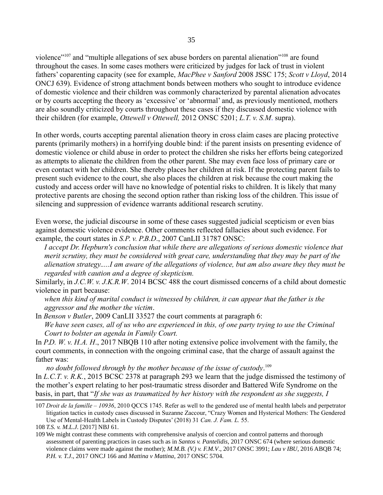violence"<sup>[107](#page-34-0)</sup> and "multiple allegations of sex abuse borders on parental alienation"<sup>[108](#page-34-1)</sup> are found throughout the cases. In some cases mothers were criticized by judges for lack of trust in violent fathers' coparenting capacity (see for example, *MacPhee v Sanford* 2008 JSSC 175; *Scott v Lloyd*, 2014 ONCJ 639). Evidence of strong attachment bonds between mothers who sought to introduce evidence of domestic violence and their children was commonly characterized by parental alienation advocates or by courts accepting the theory as 'excessive' or 'abnormal' and, as previously mentioned, mothers are also soundly criticized by courts throughout these cases if they discussed domestic violence with their children (for example, *Ottewell v Ottewell,* 2012 ONSC 5201; *L.T. v. S.M*. supra).

In other words, courts accepting parental alienation theory in cross claim cases are placing protective parents (primarily mothers) in a horrifying double bind: if the parent insists on presenting evidence of domestic violence or child abuse in order to protect the children she risks her efforts being categorized as attempts to alienate the children from the other parent. She may even face loss of primary care or even contact with her children. She thereby places her children at risk. If the protecting parent fails to present such evidence to the court, she also places the children at risk because the court making the custody and access order will have no knowledge of potential risks to children. It is likely that many protective parents are chosing the second option rather than risking loss of the children. This issue of silencing and suppression of evidence warrants additional research scrutiny.

Even worse, the judicial discourse in some of these cases suggested judicial scepticism or even bias against domestic violence evidence. Other comments reflected fallacies about such evidence. For example, the court states in *S.P. v. P.B.D*., 2007 CanLII 31787 ONSC:

*I accept Dr. Hepburn's conclusion that while there are allegations of serious domestic violence that merit scrutiny, they must be considered with great care, understanding that they may be part of the alienation strategy.....I am aware of the allegations of violence, but am also aware they they must be regarded with caution and a degree of skepticism.* 

Similarly, in *J.C.W. v. J.K.R.W*. 2014 BCSC 488 the court dismissed concerns of a child about domestic violence in part because:

*when this kind of marital conduct is witnessed by children, it can appear that the father is the aggressor and the mother the victim*.

In *Benson v Butler*, 2009 CanLII 33527 the court comments at paragraph 6: *We have seen cases, all of us who are experienced in this, of one party trying to use the Criminal Court to bolster an agenda in Family Court.* 

In *P.D. W. v. H.A. H*., 2017 NBQB 110 after noting extensive police involvement with the family, the court comments, in connection with the ongoing criminal case, that the charge of assault against the father was:

*no doubt followed through by the mother because of the issue of custody*. [109](#page-34-2)

In *L.C.T. v. R.K.*, 2015 BCSC 2378 at paragraph 293 we learn that the judge dismissed the testimony of the mother's expert relating to her post-traumatic stress disorder and Battered Wife Syndrome on the basis, in part, that "*If she was as traumatized by her history with the respondent as she suggests, I* 

<span id="page-34-0"></span><sup>107</sup> *Droit de la famille – 10936*, 2010 QCCS 1745. Refer as well to the gendered use of mental health labels and perpetrator litigation tactics in custody cases discussed in Suzanne Zaccour, "Crazy Women and Hysterical Mothers: The Gendered Use of Mental-Health Labels in Custody Disputes' (2018) 31 *Can. J. Fam. L.* 55.

<span id="page-34-1"></span><sup>108</sup>*T.S. v. M.L.J*. [2017] NBJ 61.

<span id="page-34-2"></span><sup>109</sup> We might contrast these comments with comprehensive analysis of coercion and control patterns and thorough assessment of parenting practices in cases such as in *Santos v. Pantelidis*, 2017 ONSC 674 (where serious domestic violence claims were made against the mother); *M.M.B. (V.) v. F.M.V*., 2017 ONSC 3991; *Lau v IBU*, 2016 ABQB 74; *P.H. v. T.J*., 2017 ONCJ 166 and *Mattina v Mattina*, 2017 ONSC 5704.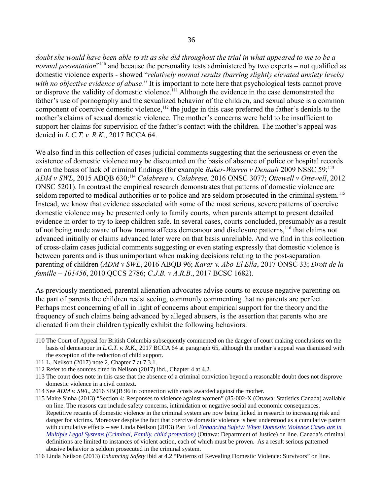*doubt she would have been able to sit as she did throughout the trial in what appeared to me to be a*  normal presentation<sup>n [110](#page-35-0)</sup> and because the personality tests administered by two experts – not qualified as domestic violence experts - showed "*relatively normal results (barring slightly elevated anxiety levels) with no objective evidence of abuse*." It is important to note here that psychological tests cannot prove or disprove the validity of domestic violence.<sup>[111](#page-35-1)</sup> Although the evidence in the case demonstrated the father's use of pornography and the sexualized behavior of the children, and sexual abuse is a common component of coercive domestic violence,<sup>[112](#page-35-2)</sup> the judge in this case preferred the father's denials to the mother's claims of sexual domestic violence. The mother's concerns were held to be insufficient to support her claims for supervision of the father's contact with the children. The mother's appeal was denied in *L.C.T. v. R.K*., 2017 BCCA 64.

We also find in this collection of cases judicial comments suggesting that the seriousness or even the existence of domestic violence may be discounted on the basis of absence of police or hospital records or on the basis of lack of criminal findings (for example *Baker-Warren v Denault* 2009 NSSC 59;<sup>[113](#page-35-3)</sup> *ADM v SWL*, 2015 ABQB 630;[114](#page-35-4) *Calabrese v. Calabrese,* 2016 ONSC 3077; *Ottewell v Ottewell*, 2012 ONSC 5201). In contrast the empirical research demonstrates that patterns of domestic violence are seldom reported to medical authorities or to police and are seldom prosecuted in the criminal system.<sup>[115](#page-35-5)</sup> Instead, we know that evidence associated with some of the most serious, severe patterns of coercive domestic violence may be presented only to family courts, when parents attempt to present detailed evidence in order to try to keep children safe. In several cases, courts concluded, presumably as a result of not being made aware of how trauma affects demeanour and disclosure patterns,<sup>[116](#page-35-6)</sup> that claims not advanced initially or claims advanced later were on that basis unreliable. And we find in this collection of cross-claim cases judicial comments suggesting or even stating expressly that domestic violence is between parents and is thus unimportant when making decisions relating to the post-separation parenting of children (*ADM v SWL*, 2016 ABQB 96; *Karar v. Abo-El Ella*, 2017 ONSC 33; *Droit de la famille – 101456*, 2010 QCCS 2786; *C.J.B. v A.R.B*., 2017 BCSC 1682).

As previously mentioned, parental alienation advocates advise courts to excuse negative parenting on the part of parents the children resist seeing, commonly commenting that no parents are perfect. Perhaps most concerning of all in light of concerns about empirical support for the theory and the frequency of such claims being advanced by alleged abusers, is the assertion that parents who are alienated from their children typically exhibit the following behaviors:

<span id="page-35-0"></span><sup>110</sup> The Court of Appeal for British Columbia subsequently commented on the danger of court making conclusions on the basis of demeanour in *L.C.T. v. R.K*., 2017 BCCA 64 at paragraph 65, although the mother's appeal was dismissed with the exception of the reduction of child support.

<span id="page-35-1"></span><sup>111</sup> L. Neilson (2017) note [2,](#page-1-1) Chapter 7 at 7.3.1.

<span id="page-35-2"></span><sup>112</sup> Refer to the sources cited in Neilson (2017) ibd., Chapter 4 at 4.2.

<span id="page-35-3"></span><sup>113</sup> The court does note in this case that the absence of a criminal conviction beyond a reasonable doubt does not disprove domestic violence in a civil context.

<span id="page-35-4"></span><sup>114</sup> See *ADM v. SWL*, 2016 SBQB 96 in connection with costs awarded against the mother.

<span id="page-35-5"></span><sup>115</sup> Maire Sinha (2013) "Section 4: Responses to violence against women" (85-002-X (Ottawa: Statistics Canada) available on line. The reasons can include safety concerns, intimidation or negative social and economic consequences. Repetitive recants of domestic violence in the criminal system are now being linked in research to increasing risk and danger for victims. Moreover despite the fact that coercive domestic violence is best understood as a cumulative pattern with cumulative effects – see Linda Neilson (2013) Part 5 of *[Enhancing Safety: When Domestic Violence Cases are in](http://www.justice.gc.ca/eng/rp-pr/fl-lf/famil/enhan-renfo/index.html)  [Multiple Legal Systems \(Criminal, Family, child protection\)](http://www.justice.gc.ca/eng/rp-pr/fl-lf/famil/enhan-renfo/index.html)* (Ottawa: Department of Justice) on line. Canada's criminal definitions are limited to instances of violent action, each of which must be proven. As a result serious patterned abusive behavior is seldom prosecuted in the criminal system.

<span id="page-35-6"></span><sup>116</sup> Linda Neilson (2013) *Enhancing Safety* ibid at 4.2 "Patterns of Revealing Domestic Violence: Survivors" on line.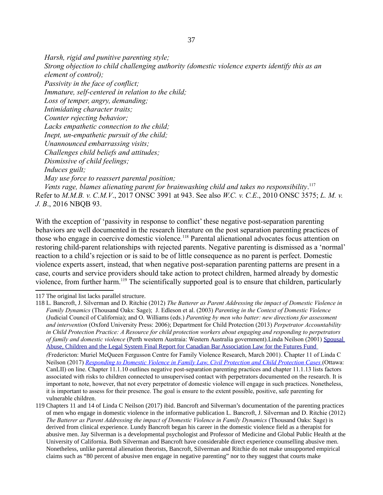*Harsh, rigid and punitive parenting style; Strong objection to child challenging authority (domestic violence experts identify this as an element of control); Passivity in the face of conflict; Immature, self-centered in relation to the child; Loss of temper, angry, demanding; Intimidating character traits; Counter rejecting behavior; Lacks empathetic connection to the child; Inept, un-empathetic pursuit of the child; Unannounced embarrassing visits; Challenges child beliefs and attitudes; Dismissive of child feelings; Induces guilt; May use force to reassert parental position;* 

*Vents rage, blames alienating parent for brainwashing child and takes no responsibility*. [117](#page-36-0) Refer to *M.M.B. v. C.M.V*., 2017 ONSC 3991 at 943. See also *W.C. v. C.E*., 2010 ONSC 3575; *L. M. v. J. B*., 2016 NBQB 93.

With the exception of 'passivity in response to conflict' these negative post-separation parenting behaviors are well documented in the research literature on the post separation parenting practices of those who engage in coercive domestic violence.<sup>[118](#page-36-1)</sup> Parental alienational advocates focus attention on restoring child-parent relationships with rejected parents. Negative parenting is dismissed as a 'normal' reaction to a child's rejection or is said to be of little consequence as no parent is perfect. Domestic violence experts assert, instead, that when negative post-separation parenting patterns are present in a case, courts and service providers should take action to protect children, harmed already by domestic violence, from further harm.<sup>[119](#page-36-2)</sup> The scientifically supported goal is to ensure that children, particularly

<span id="page-36-0"></span>117 The original list lacks parallel structure.

it is important to assess for their presence. The goal is ensure to the extent possible, positive, safe parenting for vulnerable children.

<span id="page-36-1"></span><sup>118</sup> L. Bancroft, J. Silverman and D. Ritchie (2012) *The Batterer as Parent Addressing the impact of Domestic Violence in Family Dynamics* (Thousand Oaks: Sage); J. Edleson et al. (2003) *Parenting in the Context of Domestic Violence*  (Judicial Council of California); and O. Williams (eds.) *Parenting by men who batter: new directions for assessment and intervention* (Oxford University Press: 2006); Department for Child Protection (2013) *Perpetrator Accountability in Child Protection Practice: A Resource for child protection workers about engaging and responding to perpetrators of family and domestic violence* (Perth western Austraia: Western Australia government).Linda Neilson (2001) [Spousal](http://www.unb.ca/fredericton/arts/centres/mmfc/_resources/pdfs/team2001.pdf)  [Abuse, Children and the Legal System Final Report for Canadian Bar Association Law for the Futures Fund](http://www.unb.ca/fredericton/arts/centres/mmfc/_resources/pdfs/team2001.pdf)  *[\(](http://www.unb.ca/fredericton/arts/centres/mmfc/_resources/pdfs/team2001.pdf)*Fredericton: Muriel McQueen Fergusson Centre for Family Violence Research, March 2001). Chapter 11 of Linda C Neilson (2017) *[Responding to Domestic Violence in Family Law, Civil Protection and Child Protection Cases](http://commentary.canlii.org/w/canlii/2017CanLIIDocs2)* (Ottawa: CanLII) on line. Chapter 11.1.10 outlines negative post-separation parenting practices and chapter 11.1.13 lists factors associated with risks to children connected to unsupervised contact with perpetrators documented on the research. It is important to note, however, that not every perpetrator of domestic violence will engage in such practices. Nonetheless,

<span id="page-36-2"></span><sup>119</sup> Chapters 11 and 14 of Linda C Neilson (2017) ibid. Bancroft and Silverman's documentation of the parenting practices of men who engage in domestic violence in the informative publication L. Bancroft, J. Silverman and D. Ritchie (2012) *The Batterer as Parent Addressing the impact of Domestic Violence in Family Dynamics* (Thousand Oaks: Sage) is derived from clinical experience. Lundy Bancroft began his career in the domestic violence field as a therapist for abusive men. Jay Silverman is a developmental psychologist and Professor of Medicine and Global Public Health at the University of California. Both Silverman and Bancroft have considerable direct experience counselling abusive men. Nonetheless, unlike parental alienation theorists, Bancroft, Silverman and Ritchie do not make unsupported empirical claims such as "80 percent of abusive men engage in negative parenting" nor to they suggest that courts make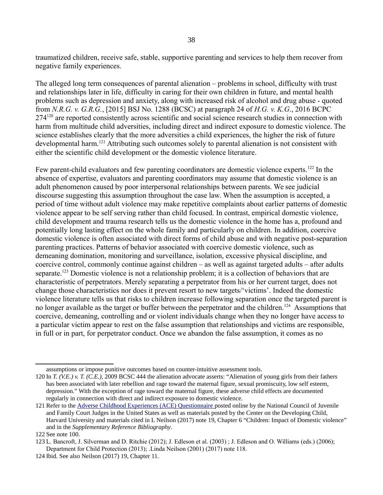traumatized children, receive safe, stable, supportive parenting and services to help them recover from negative family experiences.

The alleged long term consequences of parental alienation – problems in school, difficulty with trust and relationships later in life, difficulty in caring for their own children in future, and mental health problems such as depression and anxiety, along with increased risk of alcohol and drug abuse - quoted from *N.R.G. v. G.R.G.*, [2015] BSJ No. 1288 (BCSC) at paragraph 24 of *H.G. v. K.G*., 2016 BCPC 274<sup>[120](#page-37-0)</sup> are reported consistently across scientific and social science research studies in connection with harm from multitude child adversities, including direct and indirect exposure to domestic violence. The science establishes clearly that the more adversities a child experiences, the higher the risk of future developmental harm.<sup>[121](#page-37-1)</sup> Attributing such outcomes solely to parental alienation is not consistent with either the scientific child development or the domestic violence literature.

Few parent-child evaluators and few parenting coordinators are domestic violence experts.<sup>[122](#page-37-2)</sup> In the absence of expertise, evaluators and parenting coordinators may assume that domestic violence is an adult phenomenon caused by poor interpersonal relationships between parents. We see judicial discourse suggesting this assumption throughout the case law. When the assumption is accepted, a period of time without adult violence may make repetitive complaints about earlier patterns of domestic violence appear to be self serving rather than child focused. In contrast, empirical domestic violence, child development and trauma research tells us the domestic violence in the home has a, profound and potentially long lasting effect on the whole family and particularly on children. In addition, coercive domestic violence is often associated with direct forms of child abuse and with negative post-separation parenting practices. Patterns of behavior associated with coercive domestic violence, such as demeaning domination, monitoring and surveillance, isolation, excessive physical discipline, and coercive control, commonly continue against children – as well as against targeted adults – after adults separate.<sup>[123](#page-37-3)</sup> Domestic violence is not a relationship problem; it is a collection of behaviors that are characteristic of perpetrators. Merely separating a perpetrator from his or her current target, does not change those characteristics nor does it prevent resort to new targets/'victims'. Indeed the domestic violence literature tells us that risks to children increase following separation once the targeted parent is no longer available as the target or buffer between the perpetrator and the children.<sup>[124](#page-37-4)</sup> Assumptions that coercive, demeaning, controlling and or violent individuals change when they no longer have access to a particular victim appear to rest on the false assumption that relationships and victims are responsible, in full or in part, for perpetrator conduct. Once we abandon the false assumption, it comes as no

assumptions or impose punitive outcomes based on counter-intuitive assessment tools.

<span id="page-37-0"></span><sup>120</sup> In *T. (V.E.) v. T. (C.E.),* 2009 BCSC 444 the alienation advocate asserts: "Alienation of young girls from their fathers has been associated with later rebellion and rage toward the maternal figure, sexual promiscuity, low self esteem, depression." With the exception of rage toward the maternal figure, these adverse child effects are documented regularly in connection with direct and indirect exposure to domestic violence.

<span id="page-37-1"></span><sup>121</sup> Refer to the [Adverse Childhood Experiences \(ACE\) Questionnaire p](https://www.ncjfcj.org/sites/default/files/Finding%20Your%20ACE%20Score.pdf)osted online by the National Council of Juvenile and Family Court Judges in the United States as well as materials posted by the Center on the Developing Child, Harvard University and materials cited in L Neilson (2017) note [19,](#page-5-2) Chapter 6 "Children: Impact of Domestic violence" and in the *Supplementary Reference Bibliography*.

<span id="page-37-2"></span><sup>122</sup>See note [100.](#page-32-2)

<span id="page-37-3"></span><sup>123</sup> L. Bancroft, J. Silverman and D. Ritchie (2012); J. Edleson et al. (2003) ; J. Edleson and O. Williams (eds.) (2006); Department for Child Protection (2013); .Linda Neilson (2001) (2017) note [118.](#page-36-1)

<span id="page-37-4"></span><sup>124</sup> Ibid. See also Neilson (2017) [19,](#page-5-2) Chapter 11.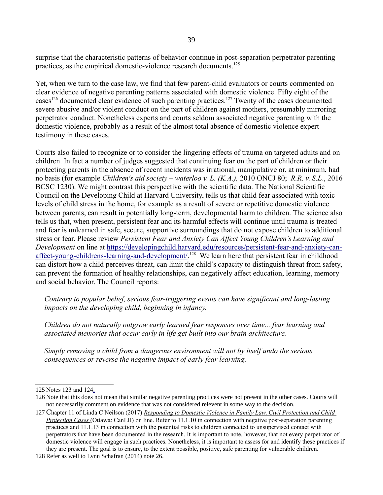surprise that the characteristic patterns of behavior continue in post-separation perpetrator parenting practices, as the empirical domestic-violence research documents.<sup>[125](#page-38-0)</sup>

Yet, when we turn to the case law, we find that few parent-child evaluators or courts commented on clear evidence of negative parenting patterns associated with domestic violence. Fifty eight of the cases<sup>[126](#page-38-1)</sup> documented clear evidence of such parenting practices.<sup>[127](#page-38-2)</sup> Twenty of the cases documented severe abusive and/or violent conduct on the part of children against mothers, presumably mirroring perpetrator conduct. Nonetheless experts and courts seldom associated negative parenting with the domestic violence, probably as a result of the almost total absence of domestic violence expert testimony in these cases.

Courts also failed to recognize or to consider the lingering effects of trauma on targeted adults and on children. In fact a number of judges suggested that continuing fear on the part of children or their protecting parents in the absence of recent incidents was irrational, manipulative or, at minimum, had no basis (for example *Children's aid society – waterloo v. L. (K.A.),* 2010 ONCJ 80; *R.R. v. S.L*., 2016 BCSC 1230). We might contrast this perspective with the scientific data. The National Scientific Council on the Developing Child at Harvard University, tells us that child fear associated with toxic levels of child stress in the home, for example as a result of severe or repetitive domestic violence between parents, can result in potentially long-term, developmental harm to children. The science also tells us that, when present, persistent fear and its harmful effects will continue until trauma is treated and fear is unlearned in safe, secure, supportive surroundings that do not expose children to additional stress or fear. Please review *Persistent Fear and Anxiety Can Affect Young Children's Learning and Development* on line at [https://developingchild.harvard.edu/resources/persistent-fear-and-anxiety-can-](https://developingchild.harvard.edu/resources/persistent-fear-and-anxiety-can-affect-young-childrens-learning-and-development/) affect-young-childrens-learning-and-development/.<sup>[128](#page-38-3)</sup> We learn here that persistent fear in childhood can distort how a child perceives threat, can limit the child's capacity to distinguish threat from safety, can prevent the formation of healthy relationships, can negatively affect education, learning, memory and social behavior. The Council reports:

*Contrary to popular belief, serious fear-triggering events can have significant and long-lasting impacts on the developing child, beginning in infancy.*

*Children do not naturally outgrow early learned fear responses over time... fear learning and associated memories that occur early in life get built into our brain architecture.*

*Simply removing a child from a dangerous environment will not by itself undo the serious consequences or reverse the negative impact of early fear learning.* 

<span id="page-38-0"></span><sup>125</sup> Notes [123](#page-37-3) and [124.](#page-37-4)

<span id="page-38-1"></span><sup>126</sup> Note that this does not mean that similar negative parenting practices were not present in the other cases. Courts will not necessarily comment on evidence that was not considered relevent in some way to the decision.

<span id="page-38-2"></span><sup>127</sup> Chapter 11 of Linda C Neilson (2017) *[Responding to Domestic Violence in Family Law, Civil Protection and Child](http://commentary.canlii.org/w/canlii/2017CanLIIDocs2)  [Protection Cases](http://commentary.canlii.org/w/canlii/2017CanLIIDocs2)* (Ottawa: CanLII) on line. Refer to 11.1.10 in connection with negative post-separation parenting practices and 11.1.13 in connection with the potential risks to children connected to unsupervised contact with perpetrators that have been documented in the research. It is important to note, however, that not every perpetrator of domestic violence will engage in such practices. Nonetheless, it is important to assess for and identify these practices if they are present. The goal is to ensure, to the extent possible, positive, safe parenting for vulnerable children.

<span id="page-38-3"></span><sup>128</sup> Refer as well to Lynn Schafran (2014) note [26.](#page-6-3)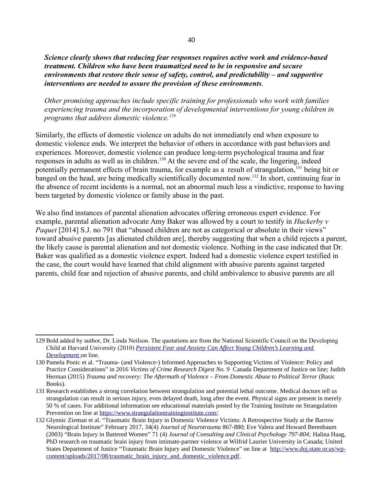*Science clearly shows that reducing fear responses requires active work and evidence-based treatment. Children who have been traumatized need to be in responsive and secure environments that restore their sense of safety, control, and predictability – and supportive interventions are needed to assure the provision of these environments.*

*Other promising approaches include specific training for professionals who work with families experiencing trauma and the incorporation of developmental interventions for young children in programs that address domestic violence.[129](#page-39-0)*

Similarly, the effects of domestic violence on adults do not immediately end when exposure to domestic violence ends. We interpret the behavior of others in accordance with past behaviors and experiences. Moreover, domestic violence can produce long-term psychological trauma and fear responses in adults as well as in children.<sup>[130](#page-39-1)</sup> At the severe end of the scale, the lingering, indeed potentially permanent effects of brain trauma, for example as a result of strangulation,<sup>[131](#page-39-2)</sup> being hit or banged on the head, are being medically scientifically documented now.<sup>[132](#page-39-3)</sup> In short, continuing fear in the absence of recent incidents is a normal, not an abnormal much less a vindictive, response to having been targeted by domestic violence or family abuse in the past.

We also find instances of parental alienation advocates offering erroneous expert evidence. For example, parental alienation advocate Amy Baker was allowed by a court to testify in *Huckerby v Paquet* [2014] S.J. no 791 that "abused children are not as categorical or absolute in their views" toward abusive parents [as alienated children are], thereby suggesting that when a child rejects a parent, the likely cause is parental alienation and not domestic violence. Nothing in the case indicated that Dr. Baker was qualified as a domestic violence expert. Indeed had a domestic violence expert testified in the case, the court would have learned that child alignment with abusive parents against targeted parents, child fear and rejection of abusive parents, and child ambivalence to abusive parents are all

<span id="page-39-0"></span><sup>129</sup> Bold added by author, Dr. Linda Neilson. The quotations are from the National Scientific Council on the Developing Child at Harvard University (2010) *[Persistent Fear and Anxiety Can Affect Young Children's Learning and](https://developingchild.harvard.edu/resources/persistent-fear-and-anxiety-can-affect-young-childrens-learning-and-development/)  [Development](https://developingchild.harvard.edu/resources/persistent-fear-and-anxiety-can-affect-young-childrens-learning-and-development/)* on line.

<span id="page-39-1"></span><sup>130</sup>Pamela Ponic et al. "Trauma- (and Violence-) Informed Approaches to Supporting Victims of Violence: Policy and Practice Considerations" in 2016 *Victims of Crime Research Digest No. 9* Canada Department of Justice on line; Judith Herman (2015) *Trauma and recovery: The Aftermath of Violence – From Domestic Abuse to Political Terror* (Basic Books).

<span id="page-39-2"></span><sup>131</sup> Research establishes a strong correlation between strangulation and potential lethal outcome. Medical doctors tell us strangulation can result in serious injury, even delayed death, long after the event. Physical signs are present in merely 50 % of cases. For additional information see educational materials posted by the Training Institute on Strangulation Prevention on line at [https://www.strangulationtraininginstitute.com/.](https://www.strangulationtraininginstitute.com/)

<span id="page-39-3"></span><sup>132</sup> Glynnic Zieman et al. "Traumatic Brain Injury in Domestic Violence Victims: A Retrospective Study at the Barrow Neurological Institute" February 2017, 34(4) *Journal of Neurotrauma* 867-880; Eve Valera and Howard Berenbaum (2003) "Brain Injury in Battered Women" 71 (4) *Journal of Consulting and Clinical Psychology 797-804;* Halina Haag, PhD research on traumatic brain injury from intimate-partner violence at Wilfrid Laurier University in Canada; United States Department of Justice "Traumatic Brain Injury and Domestic Violence" on line at [http://www.doj.state.or.us/wp](http://www.doj.state.or.us/wp-content/uploads/2017/08/traumatic_brain_injury_and_domestic_violence.pdf)[content/uploads/2017/08/traumatic\\_brain\\_injury\\_and\\_domestic\\_violence.pdf.](http://www.doj.state.or.us/wp-content/uploads/2017/08/traumatic_brain_injury_and_domestic_violence.pdf)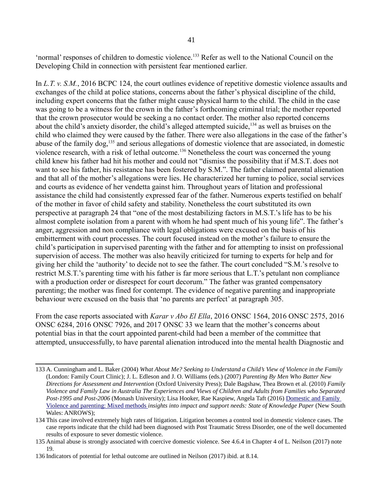'normal' responses of children to domestic violence*.* [133](#page-40-0) Refer as well to the National Council on the Developing Child in connection with persistent fear mentioned earlier.

In *L.T. v. S.M.*, 2016 BCPC 124, the court outlines evidence of repetitive domestic violence assaults and exchanges of the child at police stations, concerns about the father's physical discipline of the child, including expert concerns that the father might cause physical harm to the child. The child in the case was going to be a witness for the crown in the father's forthcoming criminal trial; the mother reported that the crown prosecutor would be seeking a no contact order. The mother also reported concerns about the child's anxiety disorder, the child's alleged attempted suicide,<sup>[134](#page-40-1)</sup> as well as bruises on the child who claimed they were caused by the father. There were also allegations in the case of the father's abuse of the family dog,<sup>[135](#page-40-2)</sup> and serious allegations of domestic violence that are associated, in domestic violence research, with a risk of lethal outcome.[136](#page-40-3) Nonetheless the court was concerned the young child knew his father had hit his mother and could not "dismiss the possibility that if M.S.T. does not want to see his father, his resistance has been fostered by S.M.". The father claimed parental alienation and that all of the mother's allegations were lies. He characterized her turning to police, social services and courts as evidence of her vendetta gainst him. Throughout years of litation and professional assistance the child had consistently expressed fear of the father. Numerous experts testified on behalf of the mother in favor of child safety and stability. Nonetheless the court substituted its own perspective at paragraph 24 that "one of the most destabilizing factors in M.S.T.'s life has to be his almost complete isolation from a parent with whom he had spent much of his young life". The father's anger, aggression and non compliance with legal obligations were excused on the basis of his embitterment with court processes. The court focused instead on the mother's failure to ensure the child's participation in supervised parenting with the father and for attempting to insist on professional supervision of access. The mother was also heavily criticized for turning to experts for help and for giving her child the 'authority' to decide not to see the father. The court concluded "S.M.'s resolve to restrict M.S.T.'s parenting time with his father is far more serious that L.T.'s petulant non compliance with a production order or disrespect for court decorum." The father was granted compensatory parenting; the mother was fined for contempt. The evidence of negative parenting and inappropriate behaviour were excused on the basis that 'no parents are perfect' at paragraph 305.

From the case reports associated with *Karar v Abo El Ella*, 2016 ONSC 1564, 2016 ONSC 2575, 2016 ONSC 6284, 2016 ONSC 7926, and 2017 ONSC 33 we learn that the mother's concerns about potential bias in that the court appointed parent-child had been a member of the committee that attempted, unsuccessfully, to have parental alienation introduced into the mental health Diagnostic and

<span id="page-40-0"></span><sup>133</sup> A. Cunningham and L. Baker (2004) *What About Me? Seeking to Understand a Child's View of Violence in the Family* (London: Family Court Clinic); J. L. Edleson and J. O. Williams (eds.) (2007) *Parenting By Men Who Batter New Directions for Assessment and Intervention* (Oxford University Press); Dale Bagshaw, Thea Brown et al. (2010) *Family Violence and Family Law in Australia The Experiences and Views of Children and Adults from Families who Separated Post-1995 and Post-2006* (Monash University); Lisa Hooker, Rae Kaspiew, Angela Taft (2016) [Domestic and Family](http://anrows.org.au/publications/landscapes/domestic-and-family-violence-and-parenting-mixed-methods-insights-impact-and)   [Violence and parenting: Mixed methods](http://anrows.org.au/publications/landscapes/domestic-and-family-violence-and-parenting-mixed-methods-insights-impact-and) *insights into impact and support needs: State of Knowledge Paper* (New South Wales: ANROWS);

<span id="page-40-1"></span><sup>134</sup> This case involved extremely high rates of litigation. Litigation becomes a control tool in domestic violence cases. The case reports indicate that the child had been diagnosed with Post Traumatic Stress Disorder, one of the well documented results of exposure to sever domestic violence.

<span id="page-40-2"></span><sup>135</sup> Animal abuse is strongly associated with coercive domestic violence. See 4.6.4 in Chapter 4 of L. Neilson (2017) not[e](#page-5-2) [19.](#page-5-2)

<span id="page-40-3"></span><sup>136</sup> Indicators of potential for lethal outcome are outlined in Neilson (2017) ibid. at 8.14.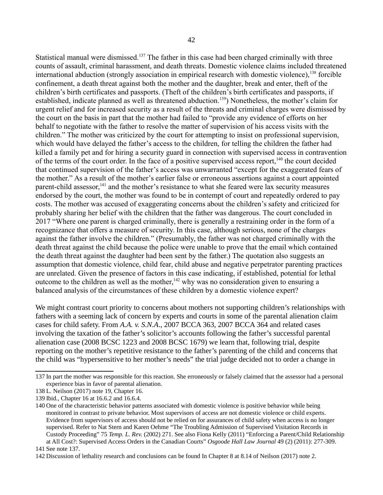Statistical manual were dismissed.<sup>[137](#page-41-0)</sup> The father in this case had been charged criminally with three counts of assault, criminal harassment, and death threats. Domestic violence claims included threatened international abduction (strongly association in empirical research with domestic violence),<sup>[138](#page-41-1)</sup> forcible confinement, a death threat against both the mother and the daughter, break and enter, theft of the children's birth certificates and passports. (Theft of the children's birth certificates and passports, if established, indicate planned as well as threatened abduction.<sup>[139](#page-41-2)</sup>) Nonetheless, the mother's claim for urgent relief and for increased security as a result of the threats and criminal charges were dismissed by the court on the basis in part that the mother had failed to "provide any evidence of efforts on her behalf to negotiate with the father to resolve the matter of supervision of his access visits with the children." The mother was criticized by the court for attempting to insist on professional supervision, which would have delayed the father's access to the children, for telling the children the father had killed a family pet and for hiring a security guard in connection with supervised access in contravention of the terms of the court order. In the face of a positive supervised access report,<sup>[140](#page-41-3)</sup> the court decided that continued supervision of the father's access was unwarranted "except for the exaggerated fears of the mother." As a result of the mother's earlier false or erroneous assertions against a court appointed parent-child assessor,<sup>[141](#page-41-4)</sup> and the mother's resistance to what she feared were lax security measures endorsed by the court, the mother was found to be in contempt of court and repeatedly ordered to pay costs. The mother was accused of exaggerating concerns about the children's safety and criticized for probably sharing her belief with the children that the father was dangerous. The court concluded in 2017 "Where one parent is charged criminally, there is generally a restraining order in the form of a recognizance that offers a measure of security. In this case, although serious, none of the charges against the father involve the children." (Presumably, the father was not charged criminally with the death threat against the child because the police were unable to prove that the email which contained the death threat against the daughter had been sent by the father.) The quotation also suggests an assumption that domestic violence, child fear, child abuse and negative perpetrator parenting practices are unrelated. Given the presence of factors in this case indicating, if established, potential for lethal outcome to the children as well as the mother,<sup>[142](#page-41-5)</sup> why was no consideration given to ensuring a balanced analysis of the circumstances of these children by a domestic violence expert?

We might contrast court priority to concerns about mothers not supporting children's relationships with fathers with a seeming lack of concern by experts and courts in some of the parental alienation claim cases for child safety. From *A.A. v. S.N.A*., 2007 BCCA 363, 2007 BCCA 364 and related cases involving the taxation of the father's solicitor's accounts following the father's successful parental alienation case (2008 BCSC 1223 and 2008 BCSC 1679) we learn that, following trial, despite reporting on the mother's repetitive resistance to the father's parenting of the child and concerns that the child was "hypersensitive to her mother's needs" the trial judge decided not to order a change in

<span id="page-41-0"></span><sup>137</sup> In part the mother was responsible for this reaction. She erroneously or falsely claimed that the assessor had a personal experience bias in favor of parental alienation.

<span id="page-41-1"></span><sup>138</sup> L. Neilson (2017) note [19,](#page-5-2) Chapter 16.

<span id="page-41-2"></span><sup>139</sup> Ibid., Chapter 16 at 16.6.2 and 16.6.4.

<span id="page-41-3"></span><sup>140</sup> One of the characteristic behavior patterns associated with domestic violence is positive behavior while being monitored in contrast to private behavior. Most supervisors of access are not domestic violence or child experts. Evidence from supervisors of access should not be relied on for assurances of child safety when access is no longer supervised. Refer to Nat Stern and Karen Oehme "The Troubling Admission of Supervised Visitation Records in Custody Proceeding" 75 *Temp. L. Rev.* (2002) 271. See also Fiona Kelly (2011) "Enforcing a Parent/Child Relationship at All Cost?: Supervised Access Orders in the Canadian Courts" *Osgoode Hall Law Journal* 49 (2) (2011): 277-309.

<span id="page-41-4"></span><sup>141</sup>See note [137.](#page-41-0)

<span id="page-41-5"></span><sup>142</sup> Discussion of lethality research and conclusions can be found In Chapter 8 at 8.14 of Neilson (2017) note [2.](#page-1-1)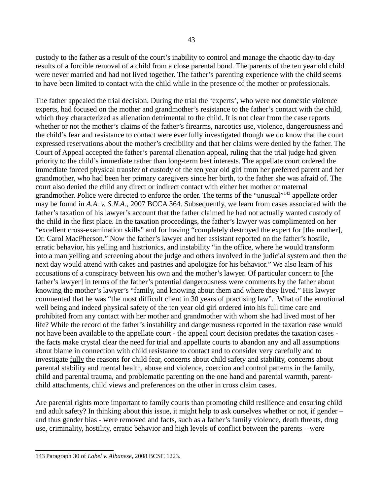custody to the father as a result of the court's inability to control and manage the chaotic day-to-day results of a forcible removal of a child from a close parental bond. The parents of the ten year old child were never married and had not lived together. The father's parenting experience with the child seems to have been limited to contact with the child while in the presence of the mother or professionals.

The father appealed the trial decision. During the trial the 'experts', who were not domestic violence experts, had focused on the mother and grandmother's resistance to the father's contact with the child, which they characterized as alienation detrimental to the child. It is not clear from the case reports whether or not the mother's claims of the father's firearms, narcotics use, violence, dangerousness and the child's fear and resistance to contact were ever fully investigated though we do know that the court expressed reservations about the mother's credibility and that her claims were denied by the father. The Court of Appeal accepted the father's parental alienation appeal, ruling that the trial judge had given priority to the child's immediate rather than long-term best interests. The appellate court ordered the immediate forced physical transfer of custody of the ten year old girl from her preferred parent and her grandmother, who had been her primary caregivers since her birth, to the father she was afraid of. The court also denied the child any direct or indirect contact with either her mother or maternal grandmother. Police were directed to enforce the order. The terms of the "unusual"<sup>[143](#page-42-0)</sup> appellate order may be found in *A.A. v. S.N.A*., 2007 BCCA 364. Subsequently, we learn from cases associated with the father's taxation of his lawyer's account that the father claimed he had not actually wanted custody of the child in the first place. In the taxation proceedings, the father's lawyer was complimented on her "excellent cross-examination skills" and for having "completely destroyed the expert for [the mother], Dr. Carol MacPherson." Now the father's lawyer and her assistant reported on the father's hostile, erratic behavior, his yelling and histrionics, and instability "in the office, where he would transform into a man yelling and screening about the judge and others involved in the judicial system and then the next day would attend with cakes and pastries and apologize for his behavior." We also learn of his accusations of a conspiracy between his own and the mother's lawyer. Of particular concern to [the father's lawyer] in terms of the father's potential dangerousness were comments by the father about knowing the mother's lawyer's "family, and knowing about them and where they lived." His lawyer commented that he was "the most difficult client in 30 years of practising law". What of the emotional well being and indeed physical safety of the ten year old girl ordered into his full time care and prohibited from any contact with her mother and grandmother with whom she had lived most of her life? While the record of the father's instability and dangerousness reported in the taxation case would not have been available to the appellate court - the appeal court decision predates the taxation cases the facts make crystal clear the need for trial and appellate courts to abandon any and all assumptions about blame in connection with child resistance to contact and to consider very carefully and to investigate fully the reasons for child fear, concerns about child safety and stability, concerns about parental stability and mental health, abuse and violence, coercion and control patterns in the family, child and parental trauma, and problematic parenting on the one hand and parental warmth, parentchild attachments, child views and preferences on the other in cross claim cases.

Are parental rights more important to family courts than promoting child resilience and ensuring child and adult safety? In thinking about this issue, it might help to ask ourselves whether or not, if gender – and thus gender bias - were removed and facts, such as a father's family violence, death threats, drug use, criminality, hostility, erratic behavior and high levels of conflict between the parents – were

<span id="page-42-0"></span><sup>143</sup>Paragraph 30 of *Label v. Albanese*, 2008 BCSC 1223.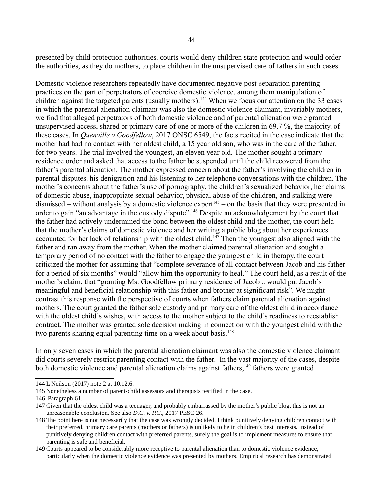presented by child protection authorities, courts would deny children state protection and would order the authorities, as they do mothers, to place children in the unsupervised care of fathers in such cases.

Domestic violence researchers repeatedly have documented negative post-separation parenting practices on the part of perpetrators of coercive domestic violence, among them manipulation of children against the targeted parents (usually mothers).<sup>[144](#page-43-0)</sup> When we focus our attention on the 33 cases in which the parental alienation claimant was also the domestic violence claimant, invariably mothers, we find that alleged perpetrators of both domestic violence and of parental alienation were granted unsupervised access, shared or primary care of one or more of the children in 69.7 %, the majority, of these cases. In *Quenville v Goodfellow*, 2017 ONSC 6549, the facts recited in the case indicate that the mother had had no contact with her oldest child, a 15 year old son, who was in the care of the father, for two years. The trial involved the youngest, an eleven year old. The mother sought a primary residence order and asked that access to the father be suspended until the child recovered from the father's parental alienation. The mother expressed concern about the father's involving the children in parental disputes, his denigration and his listening to her telephone conversations with the children. The mother's concerns about the father's use of pornography, the children's sexualized behavior, her claims of domestic abuse, inappropriate sexual behavior, physical abuse of the children, and stalking were dismissed – without analysis by a domestic violence expert<sup>[145](#page-43-1)</sup> – on the basis that they were presented in order to gain "an advantage in the custody dispute".[146](#page-43-2) Despite an acknowledgement by the court that the father had actively undermined the bond between the oldest child and the mother, the court held that the mother's claims of domestic violence and her writing a public blog about her experiences accounted for her lack of relationship with the oldest child.<sup>[147](#page-43-3)</sup> Then the youngest also aligned with the father and ran away from the mother. When the mother claimed parental alienation and sought a temporary period of no contact with the father to engage the youngest child in therapy, the court criticized the mother for assuming that "complete severance of all contact between Jacob and his father for a period of six months" would "allow him the opportunity to heal." The court held, as a result of the mother's claim, that "granting Ms. Goodfellow primary residence of Jacob .. would put Jacob's meaningful and beneficial relationship with this father and brother at significant risk". We might contrast this response with the perspective of courts when fathers claim parental alienation against mothers. The court granted the father sole custody and primary care of the oldest child in accordance with the oldest child's wishes, with access to the mother subject to the child's readiness to reestablish contract. The mother was granted sole decision making in connection with the youngest child with the two parents sharing equal parenting time on a week about basis.<sup>[148](#page-43-4)</sup>

In only seven cases in which the parental alienation claimant was also the domestic violence claimant did courts severely restrict parenting contact with the father. In the vast majority of the cases, despite both domestic violence and parental alienation claims against fathers,<sup>[149](#page-43-5)</sup> fathers were granted

<span id="page-43-0"></span><sup>144</sup> L Neilson (2017) note [2](#page-1-1) at 10.12.6.

<span id="page-43-1"></span><sup>145</sup> Nonetheless a number of parent-child assessors and therapists testified in the case.

<span id="page-43-2"></span><sup>146</sup> Paragraph 61.

<span id="page-43-3"></span><sup>147</sup> Given that the oldest child was a teenager, and probably embarrassed by the mother's public blog, this is not an unreasonable conclusion. See also *D.C. v. P.C*., 2017 PESC 26.

<span id="page-43-4"></span><sup>148</sup> The point here is not necessarily that the case was wrongly decided. I think punitively denying children contact with their preferred, primary care parents (mothers or fathers) is unlikely to be in children's best interests. Instead of punitively denying children contact with preferred parents, surely the goal is to implement measures to ensure that parenting is safe and beneficial.

<span id="page-43-5"></span><sup>149</sup> Courts appeared to be considerably more receptive to parental alienation than to domestic violence evidence, particularly when the domestic violence evidence was presented by mothers. Empirical research has demonstrated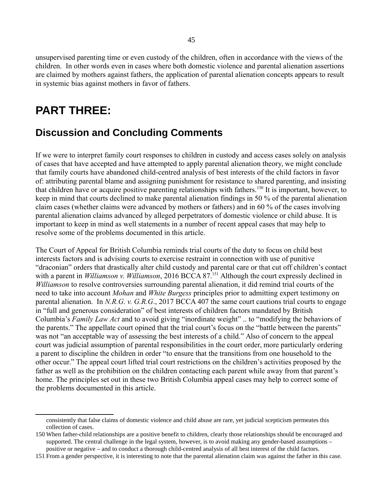unsupervised parenting time or even custody of the children, often in accordance with the views of the children. In other words even in cases where both domestic violence and parental alienation assertions are claimed by mothers against fathers, the application of parental alienation concepts appears to result in systemic bias against mothers in favor of fathers.

# **PART THREE:**

#### **Discussion and Concluding Comments**

If we were to interpret family court responses to children in custody and access cases solely on analysis of cases that have accepted and have attempted to apply parental alienation theory, we might conclude that family courts have abandoned child-centred analysis of best interests of the child factors in favor of: attributing parental blame and assigning punishment for resistance to shared parenting, and insisting that children have or acquire positive parenting relationships with fathers.[150](#page-44-0) It is important, however, to keep in mind that courts declined to make parental alienation findings in 50 % of the parental alienation claim cases (whether claims were advanced by mothers or fathers) and in 60 % of the cases involving parental alienation claims advanced by alleged perpetrators of domestic violence or child abuse. It is important to keep in mind as well statements in a number of recent appeal cases that may help to resolve some of the problems documented in this article.

The Court of Appeal for British Columbia reminds trial courts of the duty to focus on child best interests factors and is advising courts to exercise restraint in connection with use of punitive "draconian" orders that drastically alter child custody and parental care or that cut off children's contact with a parent in *Williamson v. Williamson*, 2016 BCCA 87.<sup>[151](#page-44-1)</sup> Although the court expressly declined in *Williamson* to resolve controversies surrounding parental alienation, it did remind trial courts of the need to take into account *Mohan* and *White Burgess* principles prior to admitting expert testimony on parental alienation. In *N.R.G. v. G.R.G*., 2017 BCCA 407 the same court cautions trial courts to engage in "full and generous consideration" of best interests of children factors mandated by British Columbia's *Family Law Act* and to avoid giving "inordinate weight" .. to "modifying the behaviors of the parents." The appellate court opined that the trial court's focus on the "battle between the parents" was not "an acceptable way of assessing the best interests of a child." Also of concern to the appeal court was judicial assumption of parental responsibilities in the court order, more particularly ordering a parent to discipline the children in order "to ensure that the transitions from one household to the other occur." The appeal court lifted trial court restrictions on the children's activities proposed by the father as well as the prohibition on the children contacting each parent while away from that parent's home. The principles set out in these two British Columbia appeal cases may help to correct some of the problems documented in this article.

consistently that false claims of domestic violence and child abuse are rare, yet judicial scepticism permeates this collection of cases.

<span id="page-44-0"></span><sup>150</sup> When father-child relationships are a positive benefit to children, clearly those relationships should be encouraged and supported. The central challenge in the legal system, however, is to avoid making any gender-based assumptions – positive or negative – and to conduct a thorough child-centred analysis of all best interest of the child factors.

<span id="page-44-1"></span><sup>151</sup>From a gender perspective, it is interesting to note that the parental alienation claim was against the father in this case.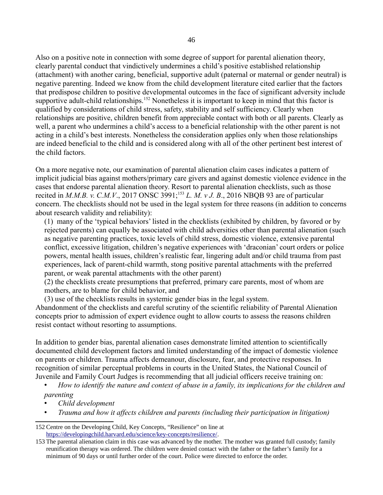Also on a positive note in connection with some degree of support for parental alienation theory, clearly parental conduct that vindictively undermines a child's positive established relationship (attachment) with another caring, beneficial, supportive adult (paternal or maternal or gender neutral) is negative parenting. Indeed we know from the child development literature cited earlier that the factors that predispose children to positive developmental outcomes in the face of significant adversity include supportive adult-child relationships.<sup>[152](#page-45-0)</sup> Nonetheless it is important to keep in mind that this factor is qualified by considerations of child stress, safety, stability and self sufficiency. Clearly when relationships are positive, children benefit from appreciable contact with both or all parents. Clearly as well, a parent who undermines a child's access to a beneficial relationship with the other parent is not acting in a child's best interests. Nonetheless the consideration applies only when those relationships are indeed beneficial to the child and is considered along with all of the other pertinent best interest of the child factors.

On a more negative note, our examination of parental alienation claim cases indicates a pattern of implicit judicial bias against mothers/primary care givers and against domestic violence evidence in the cases that endorse parental alienation theory. Resort to parental alienation checklists, such as those recited in *M.M.B. v. C.M.V.*, 2017 ONSC 3991;<sup>[153](#page-45-1)</sup> *L. M. v J. B.*, 2016 NBQB 93 are of particular concern. The checklists should not be used in the legal system for three reasons (in addition to concerns about research validity and reliability):

(1) many of the 'typical behaviors' listed in the checklists (exhibited by children, by favored or by rejected parents) can equally be associated with child adversities other than parental alienation (such as negative parenting practices, toxic levels of child stress, domestic violence, extensive parental conflict, excessive litigation, children's negative experiences with 'draconian' court orders or police powers, mental health issues, children's realistic fear, lingering adult and/or child trauma from past experiences, lack of parent-child warmth, stong positive parental attachments with the preferred parent, or weak parental attachments with the other parent)

(2) the checklists create presumptions that preferred, primary care parents, most of whom are mothers, are to blame for child behavior, and

(3) use of the checklists results in systemic gender bias in the legal system. Abandonment of the checklists and careful scrutiny of the scientific reliability of Parental Alienation concepts prior to admission of expert evidence ought to allow courts to assess the reasons children resist contact without resorting to assumptions.

In addition to gender bias, parental alienation cases demonstrate limited attention to scientifically documented child development factors and limited understanding of the impact of domestic violence on parents or children. Trauma affects demeanour, disclosure, fear, and protective responses. In recognition of similar perceptual problems in courts in the United States, the National Council of Juvenile and Family Court Judges is recommending that all judicial officers receive training on:

• *How to identify the nature and context of abuse in a family, its implications for the children and parenting*

- *Child development*
- *Trauma and how it affects children and parents (including their participation in litigation)*

<span id="page-45-0"></span><sup>152</sup> Centre on the Developing Child, Key Concepts, "Resilience" on line at [https://developingchild.harvard.edu/science/key-concepts/resilience/.](https://developingchild.harvard.edu/science/key-concepts/resilience/)

<span id="page-45-1"></span><sup>153</sup> The parental alienation claim in this case was advanced by the mother. The mother was granted full custody; family reunification therapy was ordered. The children were denied contact with the father or the father's family for a minimum of 90 days or until further order of the court. Police were directed to enforce the order.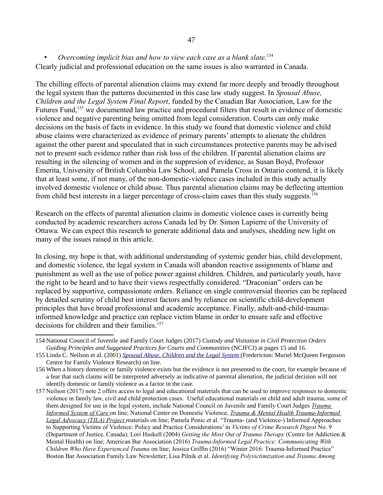• *Overcoming implicit bias and how to view each case as a blank slate.*[154](#page-46-0) Clearly judicial and professional education on the same issues is also warranted in Canada.

The chilling effects of parental alienation claims may extend far more deeply and broadly throughout the legal system than the patterns documented in this case law study suggest. In *Spousal Abuse, Children and the Legal System Final Report*, funded by the Canadian Bar Association, Law for the Futures Fund,<sup>[155](#page-46-1)</sup> we documented law practice and procedural filters that result in evidence of domestic violence and negative parenting being omitted from legal consideration. Courts can only make decisions on the basis of facts in evidence. In this study we found that domestic violence and child abuse claims were characterized as evidence of primary parents' attempts to alienate the children against the other parent and speculated that in such circumstances protective parents may be advised not to present such evidence rather than risk loss of the children. If parental alienation claims are resulting in the silencing of women and in the suppresion of evidence, as Susan Boyd, Professor Emerita, University of British Columbia Law School, and Pamela Cross in Ontario contend, it is likely that at least some, if not many, of the non-domestic-violence cases included in this study actually involved domestic violence or child abuse. Thus parental alienation claims may be deflecting attention from child best interests in a larger percentage of cross-claim cases than this study suggests.<sup>[156](#page-46-2)</sup>

Research on the effects of parental alienation claims in domestic violence cases is currently being conducted by academic researchers across Canada led by Dr. Simon Lapierre of the University of Ottawa. We can expect this research to generate additional data and analyses, shedding new light on many of the issues raised in this article.

In closing, my hope is that, with additional understanding of systemic gender bias, child development, and domestic violence, the legal system in Canada will abandon reactive assignments of blame and punishment as well as the use of police power against children. Children, and particularly youth, have the right to be heard and to have their views respectfully considered. "Draconian" orders can be replaced by supportive, compassionate orders. Reliance on single controversial theories can be replaced by detailed scrutiny of child best interest factors and by reliance on scientific child-development principles that have broad professional and academic acceptance. Finally, adult-and-child-traumainformed knowledge and practice can replace victim blame in order to ensure safe and effective decisions for children and their families.<sup>[157](#page-46-3)</sup>

<span id="page-46-0"></span><sup>154</sup> National Council of Juvenile and Family Court Judges (2017) *Custody and Visitation in Civil Protection Orders Guiding Principles and Suggested Practices for Courts and Communities* (NCJFCJ) at pages 15 and 16.

<span id="page-46-1"></span><sup>155</sup> Linda C. Neilson et al. (2001) *[Spousal Abuse, Children and the Legal System](https://www.unb.ca/fredericton/arts/centres/mmfc/_resources/pdfs/spousalabuse.pdf)* (Fredericton: Muriel McQueen Fergusson Centre for Family Violence Research) on line.

<span id="page-46-2"></span><sup>156</sup> When a history domestic or family violence exists but the evidence is not presented to the court, for example because of a fear that such claims will be interpreted adversely as indicative of parental alienation, the judicial decision will not identify domestic or family violence as a factor in the case.

<span id="page-46-3"></span><sup>157</sup> Neilson (2017) note [2](#page-1-1) offers access to legal and educational materials that can be used to improve responses to domestic violence in family law, civil and child protection cases. Useful educational materials on child and adult trauma, some of them designed for use in the legal system, include National Council on Juvenile and Family Court Judges *[Trauma](https://www.ncjfcj.org/our-work/trauma-informed-system-care)  [Informed System of Care](https://www.ncjfcj.org/our-work/trauma-informed-system-care)* on line; National Center on Domestic Violence, *[Trauma & Mental Health Trauma-Informed](http://www.nationalcenterdvtraumamh.org/trainingta/trauma-informed-legal-advocacy-tila-project/)  [Legal Advocacy \(TILA\) Project](http://www.nationalcenterdvtraumamh.org/trainingta/trauma-informed-legal-advocacy-tila-project/)* materials on line; Pamela Ponic et al. "Trauma- (and Violence-) Informed Approaches to Supporting Victims of Violence: Policy and Practice Considerations' in *Victims of Crime Research Digest* No. 9 (Department of Justice, Canada); Lori Haskell (2004) *Getting the Most Out of Trauma Therapy* (Centre for Addiction & Mental Health) on line; American Bar Association (2016) *Trauma-Informed Legal Practice: Communicating With Children Who Have Experienced Trauma* on line; Jessica Griffin (2016) "Winter 2016: Trauma-Informed Practice" Boston Bar Association Family Law Newsletter; Lisa Pilnik et al. *Identifying Polyvictimization and Trauma Among*